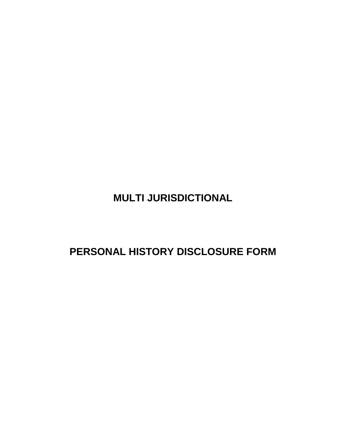**MULTI JURISDICTIONAL**

**PERSONAL HISTORY DISCLOSURE FORM**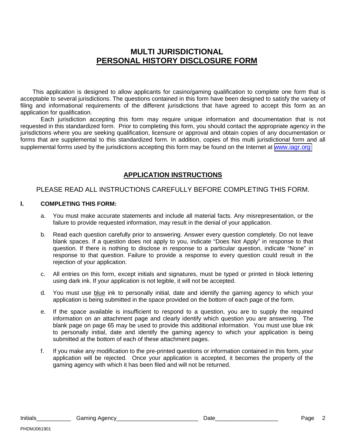### **MULTI JURISDICTIONAL PERSONAL HISTORY DISCLOSURE FORM**

This application is designed to allow applicants for casino/gaming qualification to complete one form that is acceptable to several jurisdictions. The questions contained in this form have been designed to satisfy the variety of filing and informational requirements of the different jurisdictions that have agreed to accept this form as an application for qualification.

Each jurisdiction accepting this form may require unique information and documentation that is not requested in this standardized form. Prior to completing this form, you should contact the appropriate agency in the jurisdictions where you are seeking qualification, licensure or approval and obtain copies of any documentation or forms that are supplemental to this standardized form. In addition, copies of this multi jurisdictional form and all supplemental forms used by the jurisdictions accepting this form may be found on the Internet at [www.iagr.org](http://www.iagr.org/)

### **APPLICATION INSTRUCTIONS**

### PLEASE READ ALL INSTRUCTIONS CAREFULLY BEFORE COMPLETING THIS FORM.

#### **I. COMPLETING THIS FORM:**

- a. You must make accurate statements and include all material facts. Any misrepresentation, or the failure to provide requested information, may result in the denial of your application.
- b. Read each question carefully prior to answering. Answer every question completely. Do not leave blank spaces. If a question does not apply to you, indicate "Does Not Apply" in response to that question. If there is nothing to disclose in response to a particular question, indicate "None" in response to that question. Failure to provide a response to every question could result in the rejection of your application.
- c. All entries on this form, except initials and signatures, must be typed or printed in block lettering using dark ink. If your application is not legible, it will not be accepted.
- d. You must use blue ink to personally initial, date and identify the gaming agency to which your application is being submitted in the space provided on the bottom of each page of the form.
- e. If the space available is insufficient to respond to a question, you are to supply the required information on an attachment page and clearly identify which question you are answering. The blank page on page 65 may be used to provide this additional information. You must use blue ink to personally initial, date and identify the gaming agency to which your application is being submitted at the bottom of each of these attachment pages.
- f. If you make any modification to the pre-printed questions or information contained in this form, your application will be rejected. Once your application is accepted, it becomes the property of the gaming agency with which it has been filed and will not be returned.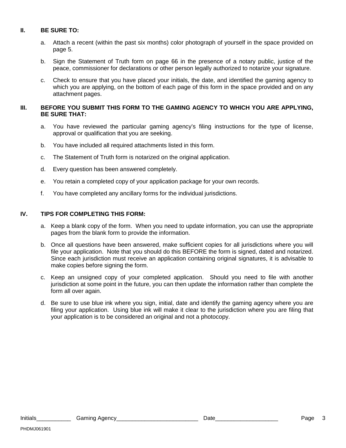#### **II. BE SURE TO:**

- a. Attach a recent (within the past six months) color photograph of yourself in the space provided on page 5.
- b. Sign the Statement of Truth form on page 66 in the presence of a notary public, justice of the peace, commissioner for declarations or other person legally authorized to notarize your signature.
- c. Check to ensure that you have placed your initials, the date, and identified the gaming agency to which you are applying, on the bottom of each page of this form in the space provided and on any attachment pages.

#### **III. BEFORE YOU SUBMIT THIS FORM TO THE GAMING AGENCY TO WHICH YOU ARE APPLYING, BE SURE THAT:**

- a. You have reviewed the particular gaming agency's filing instructions for the type of license, approval or qualification that you are seeking.
- b. You have included all required attachments listed in this form.
- c. The Statement of Truth form is notarized on the original application.
- d. Every question has been answered completely.
- e. You retain a completed copy of your application package for your own records.
- f. You have completed any ancillary forms for the individual jurisdictions.

#### **IV. TIPS FOR COMPLETING THIS FORM:**

- a. Keep a blank copy of the form. When you need to update information, you can use the appropriate pages from the blank form to provide the information.
- b. Once all questions have been answered, make sufficient copies for all jurisdictions where you will file your application. Note that you should do this BEFORE the form is signed, dated and notarized. Since each jurisdiction must receive an application containing original signatures, it is advisable to make copies before signing the form.
- c. Keep an unsigned copy of your completed application. Should you need to file with another jurisdiction at some point in the future, you can then update the information rather than complete the form all over again.
- d. Be sure to use blue ink where you sign, initial, date and identify the gaming agency where you are filing your application. Using blue ink will make it clear to the jurisdiction where you are filing that your application is to be considered an original and not a photocopy.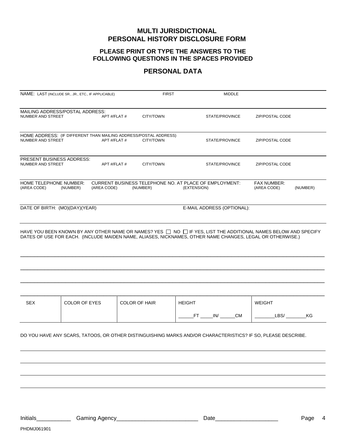#### **MULTI JURISDICTIONAL PERSONAL HISTORY DISCLOSURE FORM**

#### **PLEASE PRINT OR TYPE THE ANSWERS TO THE FOLLOWING QUESTIONS IN THE SPACES PROVIDED**

#### **PERSONAL DATA**

| NAME: LAST (INCLUDE SR., JR., ETC., IF APPLICABLE)                                                                                                                                                                         |                      |              | <b>FIRST</b>                                                                  | <b>MIDDLE</b>                                                         |                                   |          |  |  |
|----------------------------------------------------------------------------------------------------------------------------------------------------------------------------------------------------------------------------|----------------------|--------------|-------------------------------------------------------------------------------|-----------------------------------------------------------------------|-----------------------------------|----------|--|--|
| MAILING ADDRESS/POSTAL ADDRESS:<br>NUMBER AND STREET                                                                                                                                                                       |                      | APT #/FLAT # | CITY/TOWN                                                                     | STATE/PROVINCE                                                        | ZIP/POSTAL CODE                   |          |  |  |
| NUMBER AND STREET                                                                                                                                                                                                          |                      | APT #/FLAT # | HOME ADDRESS: (IF DIFFERENT THAN MAILING ADDRESS/POSTAL ADDRESS)<br>CITY/TOWN | STATE/PROVINCE                                                        | <b>ZIP/POSTAL CODE</b>            |          |  |  |
| <b>PRESENT BUSINESS ADDRESS:</b><br>NUMBER AND STREET                                                                                                                                                                      |                      | APT #/FLAT # | CITY/TOWN                                                                     | STATE/PROVINCE                                                        | ZIP/POSTAL CODE                   |          |  |  |
| HOME TELEPHONE NUMBER:<br>(AREA CODE)                                                                                                                                                                                      | (NUMBER)             | (AREA CODE)  | (NUMBER)                                                                      | CURRENT BUSINESS TELEPHONE NO. AT PLACE OF EMPLOYMENT:<br>(EXTENSION) | <b>FAX NUMBER:</b><br>(AREA CODE) | (NUMBER) |  |  |
| E-MAIL ADDRESS (OPTIONAL):<br>DATE OF BIRTH: (MO)(DAY)(YEAR)                                                                                                                                                               |                      |              |                                                                               |                                                                       |                                   |          |  |  |
| HAVE YOU BEEN KNOWN BY ANY OTHER NAME OR NAMES? YES TO O TIF YES, LIST THE ADDITIONAL NAMES BELOW AND SPECIFY<br>DATES OF USE FOR EACH. (INCLUDE MAIDEN NAME, ALIASES, NICKNAMES, OTHER NAME CHANGES, LEGAL OR OTHERWISE.) |                      |              |                                                                               |                                                                       |                                   |          |  |  |
|                                                                                                                                                                                                                            |                      |              |                                                                               |                                                                       |                                   |          |  |  |
| <b>SEX</b>                                                                                                                                                                                                                 | <b>COLOR OF EYES</b> |              | <b>COLOR OF HAIR</b>                                                          | <b>HEIGHT</b><br>FT IN/ CM                                            | <b>WEIGHT</b><br>LBS/             | KG       |  |  |
| DO YOU HAVE ANY SCARS, TATOOS, OR OTHER DISTINGUISHING MARKS AND/OR CHARACTERISTICS? IF SO, PLEASE DESCRIBE.                                                                                                               |                      |              |                                                                               |                                                                       |                                   |          |  |  |

Initials\_\_\_\_\_\_\_\_\_\_\_ Gaming Agency\_\_\_\_\_\_\_\_\_\_\_\_\_\_\_\_\_\_\_\_\_\_\_\_\_\_ Date\_\_\_\_\_\_\_\_\_\_\_\_\_\_\_\_\_\_\_\_ Page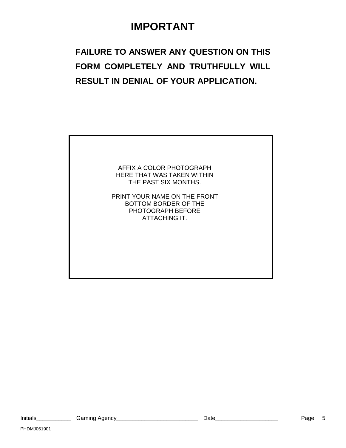# **IMPORTANT**

# **FAILURE TO ANSWER ANY QUESTION ON THIS FORM COMPLETELY AND TRUTHFULLY WILL RESULT IN DENIAL OF YOUR APPLICATION.**

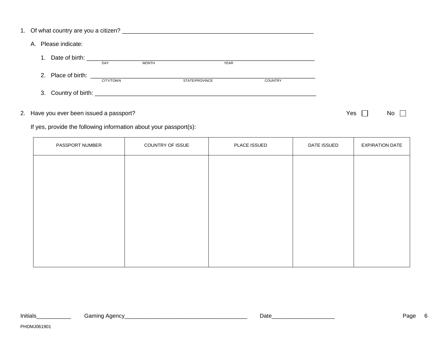|                | A. Please indicate:                                                                                                                                                                                                            |                  |              |                |             |                |
|----------------|--------------------------------------------------------------------------------------------------------------------------------------------------------------------------------------------------------------------------------|------------------|--------------|----------------|-------------|----------------|
| $\mathbf{1}$ . | Date of birth: the contract of the contract of the contract of the contract of the contract of the contract of the contract of the contract of the contract of the contract of the contract of the contract of the contract of | DAY              | <b>MONTH</b> |                | <b>YEAR</b> |                |
|                | 2. Place of birth: the contract of the contract of the contract of the contract of the contract of the contract of the contract of the contract of the contract of the contract of the contract of the contract of the contrac | <b>CITY/TOWN</b> |              | STATE/PROVINCE |             | <b>COUNTRY</b> |
|                |                                                                                                                                                                                                                                |                  |              |                |             |                |

### 2. Have you ever been issued a passport?  $\Box$  No  $\Box$

If yes, provide the following information about your passport(s):

| PASSPORT NUMBER | COUNTRY OF ISSUE | PLACE ISSUED | DATE ISSUED | <b>EXPIRATION DATE</b> |
|-----------------|------------------|--------------|-------------|------------------------|
|                 |                  |              |             |                        |
|                 |                  |              |             |                        |
|                 |                  |              |             |                        |
|                 |                  |              |             |                        |
|                 |                  |              |             |                        |
|                 |                  |              |             |                        |
|                 |                  |              |             |                        |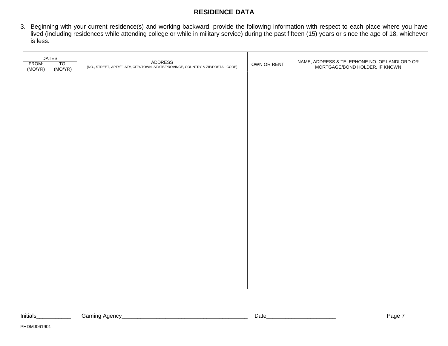### **RESIDENCE DATA**

3. Beginning with your current residence(s) and working backward, provide the following information with respect to each place where you have lived (including residences while attending college or while in military service) during the past fifteen (15) years or since the age of 18, whichever is less.

| FROM:<br>(MO/YR) | <b>DATES</b><br>TO:<br>(MO/YR) | ADDRESS<br>(NO., STREET, APT#/FLAT#, CITY/TOWN, STATE/PROVINCE, COUNTRY & ZIP/POSTAL CODE) | OWN OR RENT | NAME, ADDRESS & TELEPHONE NO. OF LANDLORD OR<br>MORTGAGE/BOND HOLDER, IF KNOWN |
|------------------|--------------------------------|--------------------------------------------------------------------------------------------|-------------|--------------------------------------------------------------------------------|
|                  |                                |                                                                                            |             |                                                                                |
|                  |                                |                                                                                            |             |                                                                                |
|                  |                                |                                                                                            |             |                                                                                |
|                  |                                |                                                                                            |             |                                                                                |
|                  |                                |                                                                                            |             |                                                                                |
|                  |                                |                                                                                            |             |                                                                                |
|                  |                                |                                                                                            |             |                                                                                |
|                  |                                |                                                                                            |             |                                                                                |
|                  |                                |                                                                                            |             |                                                                                |
|                  |                                |                                                                                            |             |                                                                                |
|                  |                                |                                                                                            |             |                                                                                |
|                  |                                |                                                                                            |             |                                                                                |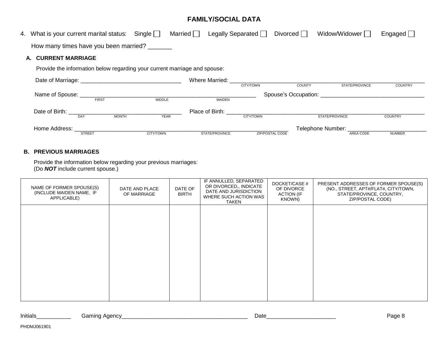### **FAMILY/SOCIAL DATA**

| 4. What is your current marital status: Single $\Box$                               |             | Married $\Box$                         | Legally Separated $\Box$ | Divorced $\Box$ | Widow/Widower                   | Engaged $\Box$ |
|-------------------------------------------------------------------------------------|-------------|----------------------------------------|--------------------------|-----------------|---------------------------------|----------------|
| How many times have you been married?                                               |             |                                        |                          |                 |                                 |                |
| <b>CURRENT MARRIAGE</b><br>А.                                                       |             |                                        |                          |                 |                                 |                |
| Provide the information below regarding your current marriage and spouse:           |             |                                        |                          |                 |                                 |                |
|                                                                                     |             | Where Married: Where Married:          | CITY/TOWN                | <b>COUNTY</b>   | STATE/PROVINCE                  | <b>COUNTRY</b> |
| Name of Spouse: FIRST MIDDLE MIDDLE MAIDEN                                          |             |                                        |                          |                 |                                 |                |
| Date of Birth: The Contract of Birth: The Contract of Birth:<br><b>MONTH</b><br>DAY | <b>YEAR</b> | Place of Birth: The Contract of Birth: | CITY/TOWN                |                 | STATE/PROVINCE                  | <b>COUNTRY</b> |
| Home Address:                                                                       |             |                                        |                          |                 | Telephone Number: _____________ |                |
| <b>STREET</b>                                                                       | CITY/TOWN   | STATE/PROVINCE                         | <b>ZIP/POSTAL CODE</b>   |                 | AREA CODE                       | <b>NUMBER</b>  |

#### **B. PREVIOUS MARRIAGES**

Provide the information below regarding your previous marriages: (Do **NOT** include current spouse.)

| NAME OF FORMER SPOUSE(S)<br>(INCLUDE MAIDEN NAME, IF<br>APPLICABLE) | DATE AND PLACE<br>OF MARRIAGE | DATE OF<br><b>BIRTH</b> | IF ANNULLED, SEPARATED<br>OR DIVORCED,, INDICATE<br>DATE AND JURISDICTION<br>WHERE SUCH ACTION WAS<br>TAKEN | DOCKET/CASE #<br>OF DIVORCE<br><b>ACTION (IF</b><br>KNOWN) | PRESENT ADDRESSES OF FORMER SPOUSE(S)<br>(NO., STREET, APT#/FLAT#, CITY/TOWN,<br>STATE/PROVINCE, COUNTRY,<br>ZIP/POSTAL CODE) |
|---------------------------------------------------------------------|-------------------------------|-------------------------|-------------------------------------------------------------------------------------------------------------|------------------------------------------------------------|-------------------------------------------------------------------------------------------------------------------------------|
|                                                                     |                               |                         |                                                                                                             |                                                            |                                                                                                                               |
|                                                                     |                               |                         |                                                                                                             |                                                            |                                                                                                                               |
|                                                                     |                               |                         |                                                                                                             |                                                            |                                                                                                                               |
|                                                                     |                               |                         |                                                                                                             |                                                            |                                                                                                                               |

| uuu | Initials | ⊶amın ∩<br>Aaency | Date | 30 <sub>n</sub> |
|-----|----------|-------------------|------|-----------------|
|-----|----------|-------------------|------|-----------------|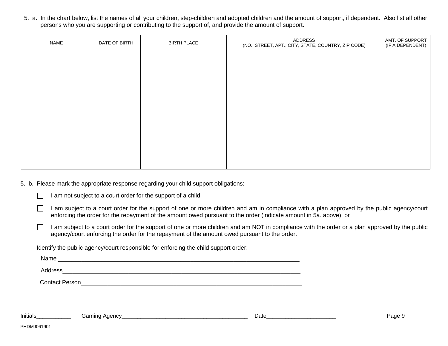5. a. In the chart below, list the names of all your children, step-children and adopted children and the amount of support, if dependent. Also list all other persons who you are supporting or contributing to the support of, and provide the amount of support.

| NAME | DATE OF BIRTH | <b>BIRTH PLACE</b> | ADDRESS<br>(NO., STREET, APT., CITY, STATE, COUNTRY, ZIP CODE) | AMT. OF SUPPORT<br>(IF A DEPENDENT) |
|------|---------------|--------------------|----------------------------------------------------------------|-------------------------------------|
|      |               |                    |                                                                |                                     |
|      |               |                    |                                                                |                                     |
|      |               |                    |                                                                |                                     |
|      |               |                    |                                                                |                                     |
|      |               |                    |                                                                |                                     |
|      |               |                    |                                                                |                                     |
|      |               |                    |                                                                |                                     |
|      |               |                    |                                                                |                                     |

5. b. Please mark the appropriate response regarding your child support obligations:

|  | I am not subject to a court order for the support of a child. |
|--|---------------------------------------------------------------|
|  |                                                               |

- I am subject to a court order for the support of one or more children and am in compliance with a plan approved by the public agency/court enforcing the order for the repayment of the amount owed pursuant to the order (indicate amount in 5a. above); or
- $\Box$ I am subject to a court order for the support of one or more children and am NOT in compliance with the order or a plan approved by the public agency/court enforcing the order for the repayment of the amount owed pursuant to the order.

Identify the public agency/court responsible for enforcing the child support order:

Name \_\_\_\_\_\_\_\_\_\_\_\_\_\_\_\_\_\_\_\_\_\_\_\_\_\_\_\_\_\_\_\_\_\_\_\_\_\_\_\_\_\_\_\_\_\_\_\_\_\_\_\_\_\_\_\_\_\_\_\_\_\_\_\_\_\_\_\_\_\_\_\_\_

Address\_\_\_\_\_\_\_\_\_\_\_\_\_\_\_\_\_\_\_\_\_\_\_\_\_\_\_\_\_\_\_\_\_\_\_\_\_\_\_\_\_\_\_\_\_\_\_\_\_\_\_\_\_\_\_\_\_\_\_\_\_\_\_\_\_\_\_\_\_\_\_\_

Contact Person\_\_\_\_\_\_\_\_\_\_\_\_\_\_\_\_\_\_\_\_\_\_\_\_\_\_\_\_\_\_\_\_\_\_\_\_\_\_\_\_\_\_\_\_\_\_\_\_\_\_\_\_\_\_\_\_\_\_\_\_\_\_\_\_\_\_\_

Initials\_\_\_\_\_\_\_\_\_\_\_ Gaming Agency\_\_\_\_\_\_\_\_\_\_\_\_\_\_\_\_\_\_\_\_\_\_\_\_\_\_\_\_\_\_\_\_\_\_\_\_\_\_\_\_ Date\_\_\_\_\_\_\_\_\_\_\_\_\_\_\_\_\_\_\_\_\_\_ Page 9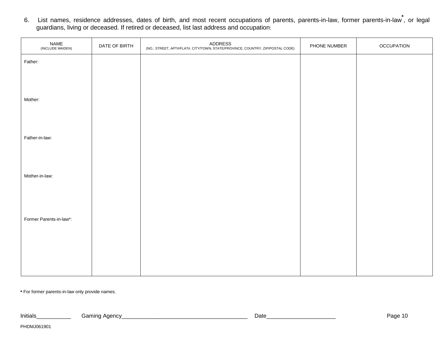6. List names, residence addresses, dates of birth, and most recent occupations of parents, parents-in-law, former parents-in-law**\***, or legal guardians, living or deceased. If retired or deceased, list last address and occupation:

| NAME<br>(INCLUDE MAIDEN) | DATE OF BIRTH | ADDRESS<br>(NO., STREET, APT#/FLAT#, CITY/TOWN, STATE/PROVINCE, COUNTRY, ZIP/POSTAL CODE) | PHONE NUMBER | <b>OCCUPATION</b> |
|--------------------------|---------------|-------------------------------------------------------------------------------------------|--------------|-------------------|
| Father:                  |               |                                                                                           |              |                   |
|                          |               |                                                                                           |              |                   |
|                          |               |                                                                                           |              |                   |
| Mother:                  |               |                                                                                           |              |                   |
|                          |               |                                                                                           |              |                   |
| Father-in-law:           |               |                                                                                           |              |                   |
|                          |               |                                                                                           |              |                   |
|                          |               |                                                                                           |              |                   |
| Mother-in-law:           |               |                                                                                           |              |                   |
|                          |               |                                                                                           |              |                   |
|                          |               |                                                                                           |              |                   |
| Former Parents-in-law*:  |               |                                                                                           |              |                   |
|                          |               |                                                                                           |              |                   |
|                          |               |                                                                                           |              |                   |
|                          |               |                                                                                           |              |                   |

**\*** For former parents-in-law only provide names.

| .<br>nitiais | $\cdot$ |  | ⊃u | aut |
|--------------|---------|--|----|-----|
|--------------|---------|--|----|-----|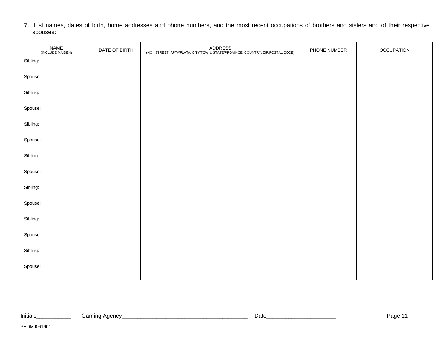7. List names, dates of birth, home addresses and phone numbers, and the most recent occupations of brothers and sisters and of their respective spouses:

| NAME<br>(INCLUDE MAIDEN) | DATE OF BIRTH | ADDRESS<br>(NO., STREET, APT#/FLAT#, CITY/TOWN, STATE/PROVINCE, COUNTRY, ZIP/POSTAL CODE) | PHONE NUMBER | <b>OCCUPATION</b> |
|--------------------------|---------------|-------------------------------------------------------------------------------------------|--------------|-------------------|
| Sibling:                 |               |                                                                                           |              |                   |
| Spouse:                  |               |                                                                                           |              |                   |
| Sibling:                 |               |                                                                                           |              |                   |
| Spouse:                  |               |                                                                                           |              |                   |
| Sibling:                 |               |                                                                                           |              |                   |
| Spouse:                  |               |                                                                                           |              |                   |
| Sibling:                 |               |                                                                                           |              |                   |
| Spouse:                  |               |                                                                                           |              |                   |
| Sibling:                 |               |                                                                                           |              |                   |
| Spouse:                  |               |                                                                                           |              |                   |
| Sibling:                 |               |                                                                                           |              |                   |
| Spouse:                  |               |                                                                                           |              |                   |
| Sibling:                 |               |                                                                                           |              |                   |
| Spouse:                  |               |                                                                                           |              |                   |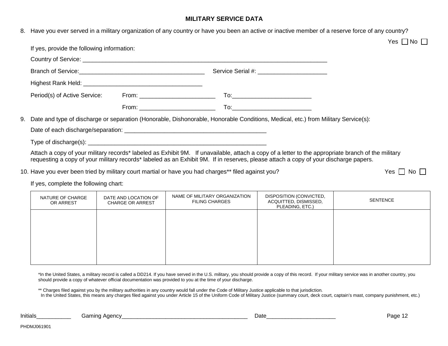#### **MILITARY SERVICE DATA**

8. Have you ever served in a military organization of any country or have you been an active or inactive member of a reserve force of any country? Yes | |No If yes, provide the following information: Country of Service: \_\_\_\_\_\_\_\_\_\_\_\_\_\_\_\_\_\_\_\_\_\_\_\_\_\_\_\_\_\_\_\_\_\_\_\_\_\_\_\_\_\_\_\_\_\_\_\_\_\_\_\_\_\_\_\_\_\_\_\_\_\_\_\_\_\_\_\_\_\_\_\_\_\_ Branch of Service:\_\_\_\_\_\_\_\_\_\_\_\_\_\_\_\_\_\_\_\_\_\_\_\_\_\_\_\_\_\_\_\_\_\_\_\_\_\_ Service Serial #: \_\_\_\_\_\_\_\_\_\_\_\_\_\_\_\_\_\_\_\_\_ Highest Rank Held: **Highest Rank** Held: Period(s) of Active Service: From: \_\_\_\_\_\_\_\_\_\_\_\_\_\_\_\_\_\_\_\_\_\_\_ To:\_\_\_\_\_\_\_\_\_\_\_\_\_\_\_\_\_\_\_\_\_\_\_\_ From: \_\_\_\_\_\_\_\_\_\_\_\_\_\_\_\_\_\_\_\_\_\_\_ To:\_\_\_\_\_\_\_\_\_\_\_\_\_\_\_\_\_\_\_\_\_\_\_\_ 9. Date and type of discharge or separation (Honorable, Dishonorable, Honorable Conditions, Medical, etc.) from Military Service(s): Date of each discharge/separation: \_\_\_\_\_\_\_\_\_\_\_\_\_\_\_\_\_\_\_\_\_\_\_\_\_\_\_\_\_\_\_\_\_\_\_\_\_\_\_\_\_\_\_ Type of discharge(s):  $\blacksquare$ Attach a copy of your military records\* labeled as Exhibit 9M. If unavailable, attach a copy of a letter to the appropriate branch of the military requesting a copy of your military records\* labeled as an Exhibit 9M. If in reserves, please attach a copy of your discharge papers.

10. Have you ever been tried by military court martial or have you had charges\*\* filed against you? Yes No No

If yes, complete the following chart:

| NATURE OF CHARGE<br>OR ARREST | DATE AND LOCATION OF<br><b>CHARGE OR ARREST</b> | NAME OF MILITARY ORGANIZATION<br><b>FILING CHARGES</b> | DISPOSITION (CONVICTED,<br>ACQUITTED, DISMISSED,<br>PLEADING, ETC.) | SENTENCE |
|-------------------------------|-------------------------------------------------|--------------------------------------------------------|---------------------------------------------------------------------|----------|
|                               |                                                 |                                                        |                                                                     |          |
|                               |                                                 |                                                        |                                                                     |          |
|                               |                                                 |                                                        |                                                                     |          |

\*In the United States, a military record is called a DD214. If you have served in the U.S. military, you should provide a copy of this record. If your military service was in another country, you should provide a copy of whatever official documentation was provided to you at the time of your discharge.

\*\* Charges filed against you by the military authorities in any country would fall under the Code of Military Justice applicable to that jurisdiction.

In the United States, this means any charges filed against you under Article 15 of the Uniform Code of Military Justice (summary court, deck court, captain's mast, company punishment, etc.)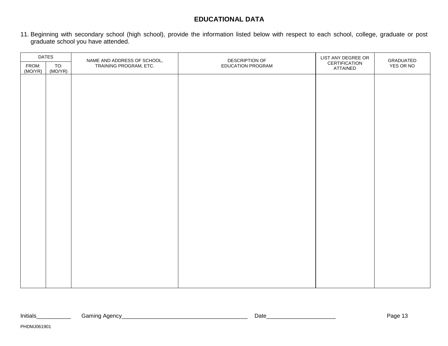### **EDUCATIONAL DATA**

11. Beginning with secondary school (high school), provide the information listed below with respect to each school, college, graduate or post graduate school you have attended.

| <b>DATES</b>     |                |                                                       | DESCRIPTION OF    | LIST ANY DEGREE OR        |                        |
|------------------|----------------|-------------------------------------------------------|-------------------|---------------------------|------------------------|
| FROM:<br>(MO/YR) | TO:<br>(MO/YR) | NAME AND ADDRESS OF SCHOOL,<br>TRAINING PROGRAM, ETC. | EDUCATION PROGRAM | CERTIFICATION<br>ATTAINED | GRADUATED<br>YES OR NO |
|                  |                |                                                       |                   |                           |                        |
|                  |                |                                                       |                   |                           |                        |
|                  |                |                                                       |                   |                           |                        |
|                  |                |                                                       |                   |                           |                        |
|                  |                |                                                       |                   |                           |                        |
|                  |                |                                                       |                   |                           |                        |
|                  |                |                                                       |                   |                           |                        |
|                  |                |                                                       |                   |                           |                        |
|                  |                |                                                       |                   |                           |                        |
|                  |                |                                                       |                   |                           |                        |
|                  |                |                                                       |                   |                           |                        |
|                  |                |                                                       |                   |                           |                        |
|                  |                |                                                       |                   |                           |                        |
|                  |                |                                                       |                   |                           |                        |
|                  |                |                                                       |                   |                           |                        |
|                  |                |                                                       |                   |                           |                        |
|                  |                |                                                       |                   |                           |                        |
|                  |                |                                                       |                   |                           |                        |
|                  |                |                                                       |                   |                           |                        |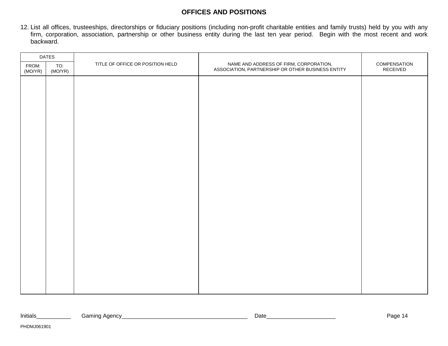### **OFFICES AND POSITIONS**

12. List all offices, trusteeships, directorships or fiduciary positions (including non-profit charitable entities and family trusts) held by you with any firm, corporation, association, partnership or other business entity during the last ten year period. Begin with the most recent and work backward.

| <b>DATES</b>     |                |                                  |                                                                                             |                          |
|------------------|----------------|----------------------------------|---------------------------------------------------------------------------------------------|--------------------------|
| FROM:<br>(MO/YR) | TO:<br>(MO/YR) | TITLE OF OFFICE OR POSITION HELD | NAME AND ADDRESS OF FIRM, CORPORATION,<br>ASSOCIATION, PARTNERSHIP OR OTHER BUSINESS ENTITY | COMPENSATION<br>RECEIVED |
|                  |                |                                  |                                                                                             |                          |
|                  |                |                                  |                                                                                             |                          |
|                  |                |                                  |                                                                                             |                          |
|                  |                |                                  |                                                                                             |                          |
|                  |                |                                  |                                                                                             |                          |
|                  |                |                                  |                                                                                             |                          |
|                  |                |                                  |                                                                                             |                          |
|                  |                |                                  |                                                                                             |                          |
|                  |                |                                  |                                                                                             |                          |
|                  |                |                                  |                                                                                             |                          |
|                  |                |                                  |                                                                                             |                          |
|                  |                |                                  |                                                                                             |                          |
|                  |                |                                  |                                                                                             |                          |
|                  |                |                                  |                                                                                             |                          |
|                  |                |                                  |                                                                                             |                          |
|                  |                |                                  |                                                                                             |                          |
|                  |                |                                  |                                                                                             |                          |
|                  |                |                                  |                                                                                             |                          |
|                  |                |                                  |                                                                                             |                          |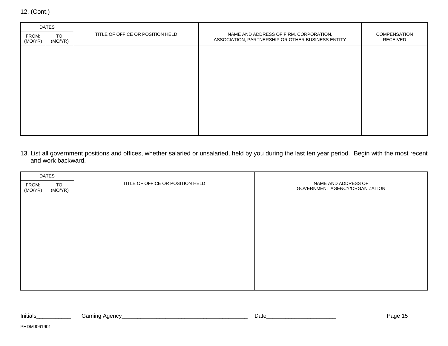|  | 12. (Cont.) |
|--|-------------|
|--|-------------|

| <b>DATES</b>     |                |                                  |                                                                                             |                          |
|------------------|----------------|----------------------------------|---------------------------------------------------------------------------------------------|--------------------------|
| FROM:<br>(MO/YR) | TO:<br>(MO/YR) | TITLE OF OFFICE OR POSITION HELD | NAME AND ADDRESS OF FIRM, CORPORATION,<br>ASSOCIATION, PARTNERSHIP OR OTHER BUSINESS ENTITY | COMPENSATION<br>RECEIVED |
|                  |                |                                  |                                                                                             |                          |
|                  |                |                                  |                                                                                             |                          |
|                  |                |                                  |                                                                                             |                          |
|                  |                |                                  |                                                                                             |                          |
|                  |                |                                  |                                                                                             |                          |
|                  |                |                                  |                                                                                             |                          |
|                  |                |                                  |                                                                                             |                          |
|                  |                |                                  |                                                                                             |                          |

13. List all government positions and offices, whether salaried or unsalaried, held by you during the last ten year period. Begin with the most recent and work backward.

| <b>DATES</b>     |                |                                  |                                                       |  |
|------------------|----------------|----------------------------------|-------------------------------------------------------|--|
| FROM:<br>(MO/YR) | TO:<br>(MO/YR) | TITLE OF OFFICE OR POSITION HELD | NAME AND ADDRESS OF<br>GOVERNMENT AGENCY/ORGANIZATION |  |
|                  |                |                                  |                                                       |  |
|                  |                |                                  |                                                       |  |
|                  |                |                                  |                                                       |  |
|                  |                |                                  |                                                       |  |
|                  |                |                                  |                                                       |  |
|                  |                |                                  |                                                       |  |
|                  |                |                                  |                                                       |  |
|                  |                |                                  |                                                       |  |
|                  |                |                                  |                                                       |  |

| Initials | Agency<br>Gamıng<br>. . |  | <b>Date</b> | مہمر<br>auc· |
|----------|-------------------------|--|-------------|--------------|
|----------|-------------------------|--|-------------|--------------|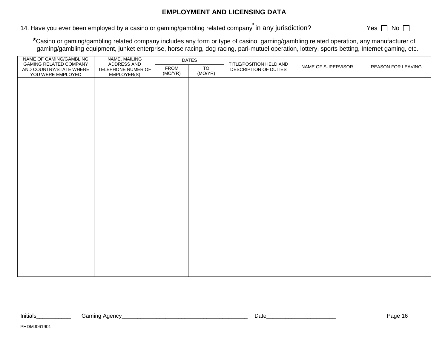### **EMPLOYMENT AND LICENSING DATA**

14. Have you ever been employed by a casino or gaming/gambling related company<sup>\*</sup> in any jurisdiction? Yes No D

 **\***Casino or gaming/gambling related company includes any form or type of casino, gaming/gambling related operation, any manufacturer of gaming/gambling equipment, junket enterprise, horse racing, dog racing, pari-mutuel operation, lottery, sports betting, Internet gaming, etc.

| NAME OF GAMING/GAMBLING<br><b>GAMING RELATED COMPANY</b> | NAME, MAILING<br>ADDRESS AND      | <b>DATES</b>    |               | TITLE/POSITION HELD AND |                    |                    |
|----------------------------------------------------------|-----------------------------------|-----------------|---------------|-------------------------|--------------------|--------------------|
| AND COUNTRY/STATE WHERE<br>YOU WERE EMPLOYED             | TELEPHONE NUMER OF<br>EMPLOYER(S) | FROM<br>(MO/YR) | TO<br>(MO/YR) | DESCRIPTION OF DUTIES   | NAME OF SUPERVISOR | REASON FOR LEAVING |
|                                                          |                                   |                 |               |                         |                    |                    |
|                                                          |                                   |                 |               |                         |                    |                    |
|                                                          |                                   |                 |               |                         |                    |                    |
|                                                          |                                   |                 |               |                         |                    |                    |
|                                                          |                                   |                 |               |                         |                    |                    |
|                                                          |                                   |                 |               |                         |                    |                    |
|                                                          |                                   |                 |               |                         |                    |                    |
|                                                          |                                   |                 |               |                         |                    |                    |
|                                                          |                                   |                 |               |                         |                    |                    |
|                                                          |                                   |                 |               |                         |                    |                    |
|                                                          |                                   |                 |               |                         |                    |                    |
|                                                          |                                   |                 |               |                         |                    |                    |
|                                                          |                                   |                 |               |                         |                    |                    |
|                                                          |                                   |                 |               |                         |                    |                    |
|                                                          |                                   |                 |               |                         |                    |                    |
|                                                          |                                   |                 |               |                         |                    |                    |
|                                                          |                                   |                 |               |                         |                    |                    |
|                                                          |                                   |                 |               |                         |                    |                    |
|                                                          |                                   |                 |               |                         |                    |                    |
|                                                          |                                   |                 |               |                         |                    |                    |
|                                                          |                                   |                 |               |                         |                    |                    |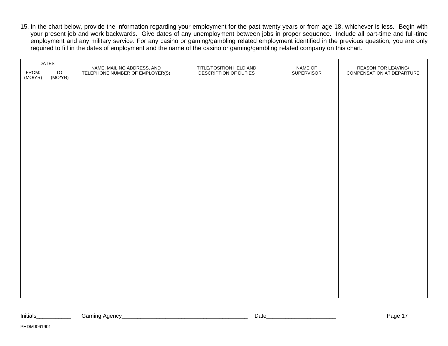15. In the chart below, provide the information regarding your employment for the past twenty years or from age 18, whichever is less. Begin with your present job and work backwards. Give dates of any unemployment between jobs in proper sequence. Include all part-time and full-time employment and any military service. For any casino or gaming/gambling related employment identified in the previous question, you are only required to fill in the dates of employment and the name of the casino or gaming/gambling related company on this chart.

| <b>DATES</b>     |                |                                                               | TITLE/POSITION HELD AND | NAME OF    | REASON FOR LEAVING/       |
|------------------|----------------|---------------------------------------------------------------|-------------------------|------------|---------------------------|
| FROM:<br>(MO/YR) | TO:<br>(MO/YR) | NAME, MAILING ADDRESS, AND<br>TELEPHONE NUMBER OF EMPLOYER(S) | DESCRIPTION OF DUTIES   | SUPERVISOR | COMPENSATION AT DEPARTURE |
|                  |                |                                                               |                         |            |                           |
|                  |                |                                                               |                         |            |                           |
|                  |                |                                                               |                         |            |                           |
|                  |                |                                                               |                         |            |                           |
|                  |                |                                                               |                         |            |                           |
|                  |                |                                                               |                         |            |                           |
|                  |                |                                                               |                         |            |                           |
|                  |                |                                                               |                         |            |                           |
|                  |                |                                                               |                         |            |                           |
|                  |                |                                                               |                         |            |                           |
|                  |                |                                                               |                         |            |                           |
|                  |                |                                                               |                         |            |                           |
|                  |                |                                                               |                         |            |                           |
|                  |                |                                                               |                         |            |                           |
|                  |                |                                                               |                         |            |                           |
|                  |                |                                                               |                         |            |                           |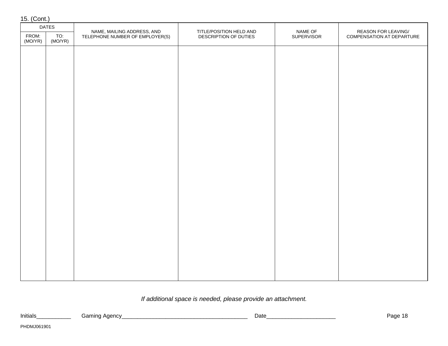| 15. (Cont.)      |                |                                                               |                                                  |                       |                                                  |
|------------------|----------------|---------------------------------------------------------------|--------------------------------------------------|-----------------------|--------------------------------------------------|
|                  | <b>DATES</b>   |                                                               |                                                  |                       |                                                  |
| FROM:<br>(MO/YR) | TO:<br>(MO/YR) | NAME, MAILING ADDRESS, AND<br>TELEPHONE NUMBER OF EMPLOYER(S) | TITLE/POSITION HELD AND<br>DESCRIPTION OF DUTIES | NAME OF<br>SUPERVISOR | REASON FOR LEAVING/<br>COMPENSATION AT DEPARTURE |
|                  |                |                                                               |                                                  |                       |                                                  |
|                  |                |                                                               |                                                  |                       |                                                  |
|                  |                |                                                               |                                                  |                       |                                                  |
|                  |                |                                                               |                                                  |                       |                                                  |
|                  |                |                                                               |                                                  |                       |                                                  |
|                  |                |                                                               |                                                  |                       |                                                  |
|                  |                |                                                               |                                                  |                       |                                                  |
|                  |                |                                                               |                                                  |                       |                                                  |
|                  |                |                                                               |                                                  |                       |                                                  |
|                  |                |                                                               |                                                  |                       |                                                  |
|                  |                |                                                               |                                                  |                       |                                                  |
|                  |                |                                                               |                                                  |                       |                                                  |
|                  |                |                                                               |                                                  |                       |                                                  |
|                  |                |                                                               |                                                  |                       |                                                  |
|                  |                |                                                               |                                                  |                       |                                                  |
|                  |                |                                                               |                                                  |                       |                                                  |

### If additional space is needed, please provide an attachment.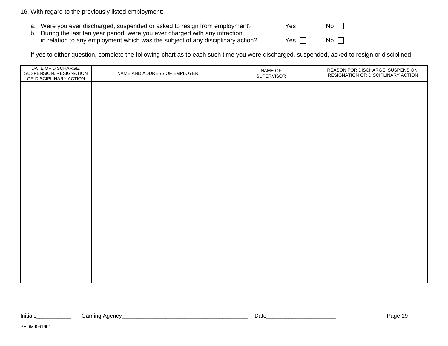#### 16. With regard to the previously listed employment:

- a. Were you ever discharged, suspended or asked to resign from employment?
- b. During the last ten year period, were you ever charged with any infraction in relation to any employment which was the subject of any disciplinary action?

| Yes $\Box$ | $No$ $\Box$ |  |
|------------|-------------|--|
| Yes $\Box$ | No $\Box$   |  |

If yes to either question, complete the following chart as to each such time you were discharged, suspended, asked to resign or disciplined:

| DATE OF DISCHARGE,<br>SUSPENSION, RESIGNATION<br>OR DISCIPLINARY ACTION | NAME AND ADDRESS OF EMPLOYER | NAME OF<br>SUPERVISOR | REASON FOR DISCHARGE, SUSPENSION,<br>RESIGNATION OR DISCIPLINARY ACTION |
|-------------------------------------------------------------------------|------------------------------|-----------------------|-------------------------------------------------------------------------|
|                                                                         |                              |                       |                                                                         |
|                                                                         |                              |                       |                                                                         |
|                                                                         |                              |                       |                                                                         |
|                                                                         |                              |                       |                                                                         |
|                                                                         |                              |                       |                                                                         |
|                                                                         |                              |                       |                                                                         |
|                                                                         |                              |                       |                                                                         |
|                                                                         |                              |                       |                                                                         |
|                                                                         |                              |                       |                                                                         |
|                                                                         |                              |                       |                                                                         |
|                                                                         |                              |                       |                                                                         |
|                                                                         |                              |                       |                                                                         |
|                                                                         |                              |                       |                                                                         |
|                                                                         |                              |                       |                                                                         |

| Initials | Gamino<br>~~ | <b>Date</b> | $\sim$<br>-dul |
|----------|--------------|-------------|----------------|
|          |              |             |                |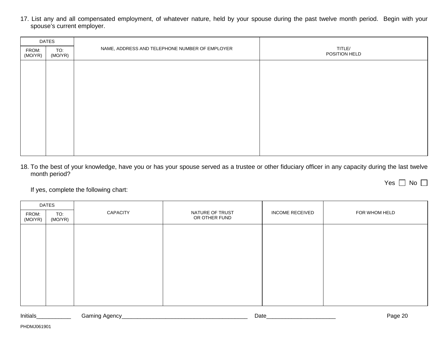17. List any and all compensated employment, of whatever nature, held by your spouse during the past twelve month period. Begin with your spouse's current employer.

| <b>DATES</b>     |                |                                                |                         |  |  |
|------------------|----------------|------------------------------------------------|-------------------------|--|--|
| FROM:<br>(MO/YR) | TO:<br>(MO/YR) | NAME, ADDRESS AND TELEPHONE NUMBER OF EMPLOYER | TITLE/<br>POSITION HELD |  |  |
|                  |                |                                                |                         |  |  |
|                  |                |                                                |                         |  |  |
|                  |                |                                                |                         |  |  |
|                  |                |                                                |                         |  |  |
|                  |                |                                                |                         |  |  |
|                  |                |                                                |                         |  |  |
|                  |                |                                                |                         |  |  |
|                  |                |                                                |                         |  |  |

18. To the best of your knowledge, have you or has your spouse served as a trustee or other fiduciary officer in any capacity during the last twelve month period?

Yes | | No

If yes, complete the following chart:

| <b>DATES</b>     |                |                 |                                  |                        |               |
|------------------|----------------|-----------------|----------------------------------|------------------------|---------------|
| FROM:<br>(MO/YR) | TO:<br>(MO/YR) | <b>CAPACITY</b> | NATURE OF TRUST<br>OR OTHER FUND | <b>INCOME RECEIVED</b> | FOR WHOM HELD |
|                  |                |                 |                                  |                        |               |
|                  |                |                 |                                  |                        |               |
|                  |                |                 |                                  |                        |               |
|                  |                |                 |                                  |                        |               |
|                  |                |                 |                                  |                        |               |
|                  |                |                 |                                  |                        |               |
|                  |                |                 |                                  |                        |               |

Initials\_\_\_\_\_\_\_\_\_\_\_ Gaming Agency\_\_\_\_\_\_\_\_\_\_\_\_\_\_\_\_\_\_\_\_\_\_\_\_\_\_\_\_\_\_\_\_\_\_\_\_\_\_\_\_ Date\_\_\_\_\_\_\_\_\_\_\_\_\_\_\_\_\_\_\_\_\_\_ Page 20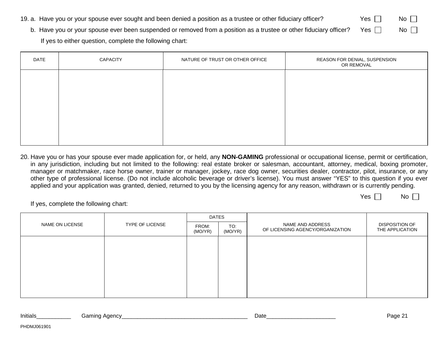- 19. a. Have you or your spouse ever sought and been denied a position as a trustee or other fiduciary officer? Yes  $\Box$  No  $\Box$ 
	- b. Have you or your spouse ever been suspended or removed from a position as a trustee or other fiduciary officer? Yes  $\Box$  No  $\Box$ If yes to either question, complete the following chart:

| DATE | <b>CAPACITY</b> | NATURE OF TRUST OR OTHER OFFICE | REASON FOR DENIAL, SUSPENSION<br>OR REMOVAL |
|------|-----------------|---------------------------------|---------------------------------------------|
|      |                 |                                 |                                             |
|      |                 |                                 |                                             |
|      |                 |                                 |                                             |
|      |                 |                                 |                                             |
|      |                 |                                 |                                             |

20. Have you or has your spouse ever made application for, or held, any **NON-GAMING** professional or occupational license, permit or certification, in any jurisdiction, including but not limited to the following: real estate broker or salesman, accountant, attorney, medical, boxing promoter, manager or matchmaker, race horse owner, trainer or manager, jockey, race dog owner, securities dealer, contractor, pilot, insurance, or any other type of professional license. (Do not include alcoholic beverage or driver's license). You must answer "YES" to this question if you ever applied and your application was granted, denied, returned to you by the licensing agency for any reason, withdrawn or is currently pending.

 $Yes \Box \qquad No \Box$ 

|                 |                 | <b>DATES</b>     |                |                                                      |                                   |  |
|-----------------|-----------------|------------------|----------------|------------------------------------------------------|-----------------------------------|--|
| NAME ON LICENSE | TYPE OF LICENSE | FROM:<br>(MO/YR) | TO:<br>(MO/YR) | NAME AND ADDRESS<br>OF LICENSING AGENCY/ORGANIZATION | DISPOSITION OF<br>THE APPLICATION |  |
|                 |                 |                  |                |                                                      |                                   |  |
|                 |                 |                  |                |                                                      |                                   |  |
|                 |                 |                  |                |                                                      |                                   |  |
|                 |                 |                  |                |                                                      |                                   |  |
|                 |                 |                  |                |                                                      |                                   |  |
|                 |                 |                  |                |                                                      |                                   |  |

| Initials | . Agency<br>amınaن<br>. . | Date | ∟ממיי<br>auc-<br>$\cdot$ |
|----------|---------------------------|------|--------------------------|
|          |                           |      |                          |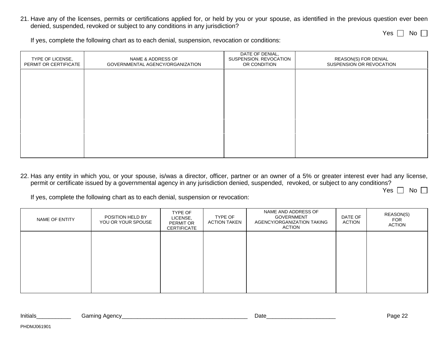21. Have any of the licenses, permits or certifications applied for, or held by you or your spouse, as identified in the previous question ever been denied, suspended, revoked or subject to any conditions in any jurisdiction?

Yes  $\bigsqcup$  No

If yes, complete the following chart as to each denial, suspension, revocation or conditions:

| TYPE OF LICENSE,<br>PERMIT OR CERTIFICATE | NAME & ADDRESS OF<br>GOVERNMENTAL AGENCY/ORGANIZATION | DATE OF DENIAL,<br>SUSPENSION. REVOCATION<br>OR CONDITION | REASON(S) FOR DENIAL<br>SUSPENSION OR REVOCATION |
|-------------------------------------------|-------------------------------------------------------|-----------------------------------------------------------|--------------------------------------------------|
|                                           |                                                       |                                                           |                                                  |
|                                           |                                                       |                                                           |                                                  |
|                                           |                                                       |                                                           |                                                  |
|                                           |                                                       |                                                           |                                                  |
|                                           |                                                       |                                                           |                                                  |

22. Has any entity in which you, or your spouse, is/was a director, officer, partner or an owner of a 5% or greater interest ever had any license, permit or certificate issued by a governmental agency in any jurisdiction denied, suspended, revoked, or subject to any conditions?

Yes | | No

If yes, complete the following chart as to each denial, suspension or revocation:

| NAME OF ENTITY | POSITION HELD BY<br>YOU OR YOUR SPOUSE | TYPE OF<br>LICENSE,<br><b>PERMIT OR</b><br><b>CERTIFICATE</b> | TYPE OF<br><b>ACTION TAKEN</b> | NAME AND ADDRESS OF<br><b>GOVERNMENT</b><br>AGENCY/ORGANIZATION TAKING<br><b>ACTION</b> | DATE OF<br>ACTION | REASON(S)<br><b>FOR</b><br>ACTION |
|----------------|----------------------------------------|---------------------------------------------------------------|--------------------------------|-----------------------------------------------------------------------------------------|-------------------|-----------------------------------|
|                |                                        |                                                               |                                |                                                                                         |                   |                                   |
|                |                                        |                                                               |                                |                                                                                         |                   |                                   |
|                |                                        |                                                               |                                |                                                                                         |                   |                                   |

Initials\_\_\_\_\_\_\_\_\_\_\_ Gaming Agency\_\_\_\_\_\_\_\_\_\_\_\_\_\_\_\_\_\_\_\_\_\_\_\_\_\_\_\_\_\_\_\_\_\_\_\_\_\_\_\_ Date\_\_\_\_\_\_\_\_\_\_\_\_\_\_\_\_\_\_\_\_\_\_ Page 22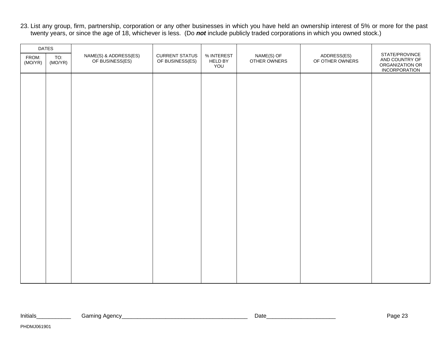23. List any group, firm, partnership, corporation or any other businesses in which you have held an ownership interest of 5% or more for the past twenty years, or since the age of 18, whichever is less. (Do **not** include publicly traded corporations in which you owned stock.)

|                  | <b>DATES</b>   |                                          |                                          |                                                                   |                                |                                                                             |  |
|------------------|----------------|------------------------------------------|------------------------------------------|-------------------------------------------------------------------|--------------------------------|-----------------------------------------------------------------------------|--|
| FROM:<br>(MO/YR) | TO:<br>(MO/YR) | NAME(S) & ADDRESS(ES)<br>OF BUSINESS(ES) | <b>CURRENT STATUS</b><br>OF BUSINESS(ES) | NAME(S) OF<br>% INTEREST<br><b>HELD BY</b><br>OTHER OWNERS<br>YOU | ADDRESS(ES)<br>OF OTHER OWNERS | STATE/PROVINCE<br>AND COUNTRY OF<br>ORGANIZATION OR<br><b>INCORPORATION</b> |  |
|                  |                |                                          |                                          |                                                                   |                                |                                                                             |  |
|                  |                |                                          |                                          |                                                                   |                                |                                                                             |  |
|                  |                |                                          |                                          |                                                                   |                                |                                                                             |  |
|                  |                |                                          |                                          |                                                                   |                                |                                                                             |  |
|                  |                |                                          |                                          |                                                                   |                                |                                                                             |  |
|                  |                |                                          |                                          |                                                                   |                                |                                                                             |  |
|                  |                |                                          |                                          |                                                                   |                                |                                                                             |  |
|                  |                |                                          |                                          |                                                                   |                                |                                                                             |  |
|                  |                |                                          |                                          |                                                                   |                                |                                                                             |  |
|                  |                |                                          |                                          |                                                                   |                                |                                                                             |  |
|                  |                |                                          |                                          |                                                                   |                                |                                                                             |  |
|                  |                |                                          |                                          |                                                                   |                                |                                                                             |  |
|                  |                |                                          |                                          |                                                                   |                                |                                                                             |  |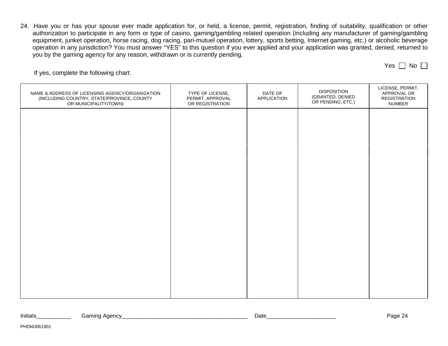24. Have you or has your spouse ever made application for, or held, a license, permit, registration, finding of suitability, qualification or other authorization to participate in any form or type of casino, gaming/gambling related operation (including any manufacturer of gaming/gambling equipment, junket operation, horse racing, dog racing, pari-mutuel operation, lottery, sports betting, Internet gaming, etc.) or alcoholic beverage operation in any jurisdiction? You must answer "YES" to this question if you ever applied and your application was granted, denied, returned to you by the gaming agency for any reason, withdrawn or is currently pending.

| NAME & ADDRESS OF LICENSING AGENCY/ORGANIZATION<br>(INCLUDING COUNTRY, STATE/PROVINCE, COUNTY<br>OR MUNICIPALITY/TOWN) | TYPE OF LICENSE,<br>PERMIT, APPROVAL<br>OR REGISTRATION | DATE OF<br><b>APPLICATION</b> | <b>DISPOSITION</b><br>(GRANTED, DENIED<br>OR PENDING, ETC.) | LICENSE, PERMIT,<br>APPROVAL OR<br><b>REGISTRATION</b><br><b>NUMBER</b> |
|------------------------------------------------------------------------------------------------------------------------|---------------------------------------------------------|-------------------------------|-------------------------------------------------------------|-------------------------------------------------------------------------|
|                                                                                                                        |                                                         |                               |                                                             |                                                                         |
|                                                                                                                        |                                                         |                               |                                                             |                                                                         |
|                                                                                                                        |                                                         |                               |                                                             |                                                                         |
|                                                                                                                        |                                                         |                               |                                                             |                                                                         |
|                                                                                                                        |                                                         |                               |                                                             |                                                                         |
|                                                                                                                        |                                                         |                               |                                                             |                                                                         |
|                                                                                                                        |                                                         |                               |                                                             |                                                                         |
|                                                                                                                        |                                                         |                               |                                                             |                                                                         |

| Initials | 0.000c<br>amın<br><u>т.</u><br>. <del>.</del><br>. . | ,,,,<br>⊃alt<br>_ | $\sim$<br>- аш |
|----------|------------------------------------------------------|-------------------|----------------|
|----------|------------------------------------------------------|-------------------|----------------|

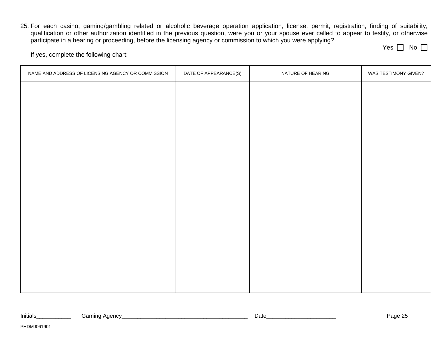25. For each casino, gaming/gambling related or alcoholic beverage operation application, license, permit, registration, finding of suitability, qualification or other authorization identified in the previous question, were you or your spouse ever called to appear to testify, or otherwise participate in a hearing or proceeding, before the licensing agency or commission to which you were applying?

Yes | | No

| NAME AND ADDRESS OF LICENSING AGENCY OR COMMISSION | DATE OF APPEARANCE(S) | NATURE OF HEARING | WAS TESTIMONY GIVEN? |
|----------------------------------------------------|-----------------------|-------------------|----------------------|
|                                                    |                       |                   |                      |
|                                                    |                       |                   |                      |
|                                                    |                       |                   |                      |
|                                                    |                       |                   |                      |
|                                                    |                       |                   |                      |
|                                                    |                       |                   |                      |
|                                                    |                       |                   |                      |
|                                                    |                       |                   |                      |
|                                                    |                       |                   |                      |
|                                                    |                       |                   |                      |
|                                                    |                       |                   |                      |
|                                                    |                       |                   |                      |
|                                                    |                       |                   |                      |
|                                                    |                       |                   |                      |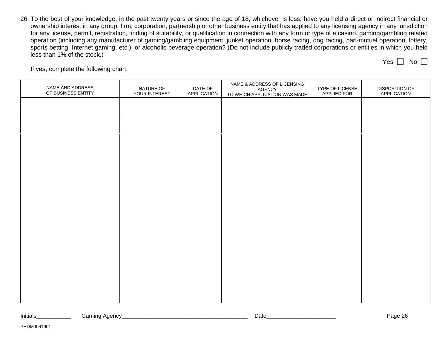26. To the best of your knowledge, in the past twenty years or since the age of 18, whichever is less, have you held a direct or indirect financial or ownership interest in any group, firm, corporation, partnership or other business entity that has applied to any licensing agency in any jurisdiction for any license, permit, registration, finding of suitability, or qualification in connection with any form or type of a casino, gaming/gambling related operation (including any manufacturer of gaming/gambling equipment, junket operation, horse racing, dog racing, pari-mutuel operation, lottery, sports betting, Internet gaming, etc.), or alcoholic beverage operation? (Do not include publicly traded corporations or entities in which you held less than 1% of the stock.) Yes  $\Box$  No  $\Box$ 

| NAME AND ADDRESS<br>OF BUSINESS ENTITY | NATURE OF<br>YOUR INTEREST | DATE OF<br>APPLICATION | NAME & ADDRESS OF LICENSING<br>AGENCY<br>TO WHICH APPLICATION WAS MADE | TYPE OF LICENSE<br>APPLIED FOR | DISPOSITION OF<br>APPLICATION |
|----------------------------------------|----------------------------|------------------------|------------------------------------------------------------------------|--------------------------------|-------------------------------|
|                                        |                            |                        |                                                                        |                                |                               |
|                                        |                            |                        |                                                                        |                                |                               |
|                                        |                            |                        |                                                                        |                                |                               |
|                                        |                            |                        |                                                                        |                                |                               |
|                                        |                            |                        |                                                                        |                                |                               |
|                                        |                            |                        |                                                                        |                                |                               |
|                                        |                            |                        |                                                                        |                                |                               |
|                                        |                            |                        |                                                                        |                                |                               |
|                                        |                            |                        |                                                                        |                                |                               |
|                                        |                            |                        |                                                                        |                                |                               |
|                                        |                            |                        |                                                                        |                                |                               |
|                                        |                            |                        |                                                                        |                                |                               |

| .<br>Initials<br>. . | . | Jate | .,<br>ane. |
|----------------------|---|------|------------|
|----------------------|---|------|------------|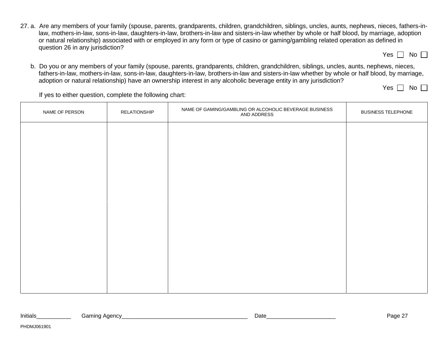27. a. Are any members of your family (spouse, parents, grandparents, children, grandchildren, siblings, uncles, aunts, nephews, nieces, fathers-inlaw, mothers-in-law, sons-in-law, daughters-in-law, brothers-in-law and sisters-in-law whether by whole or half blood, by marriage, adoption or natural relationship) associated with or employed in any form or type of casino or gaming/gambling related operation as defined in question 26 in any jurisdiction?

b. Do you or any members of your family (spouse, parents, grandparents, children, grandchildren, siblings, uncles, aunts, nephews, nieces, fathers-in-law, mothers-in-law, sons-in-law, daughters-in-law, brothers-in-law and sisters-in-law whether by whole or half blood, by marriage, adoption or natural relationship) have an ownership interest in any alcoholic beverage entity in any jurisdiction?

Yes  $\Box$  No  $\Box$ 

If yes to either question, complete the following chart:

| NAME OF PERSON | RELATIONSHIP | NAME OF GAMING/GAMBLING OR ALCOHOLIC BEVERAGE BUSINESS<br>AND ADDRESS | <b>BUSINESS TELEPHONE</b> |
|----------------|--------------|-----------------------------------------------------------------------|---------------------------|
|                |              |                                                                       |                           |
|                |              |                                                                       |                           |
|                |              |                                                                       |                           |
|                |              |                                                                       |                           |
|                |              |                                                                       |                           |
|                |              |                                                                       |                           |
|                |              |                                                                       |                           |
|                |              |                                                                       |                           |
|                |              |                                                                       |                           |

| Initials | Gamınd<br>Agency | - Date | $\sqrt{2}$<br>-dur. |
|----------|------------------|--------|---------------------|
|----------|------------------|--------|---------------------|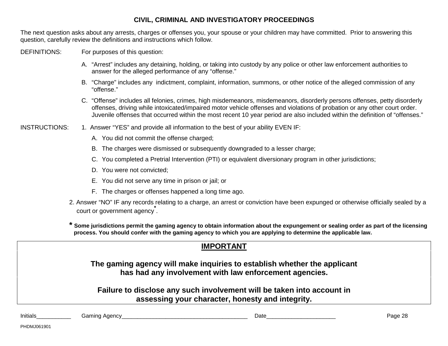### **CIVIL, CRIMINAL AND INVESTIGATORY PROCEEDINGS**

The next question asks about any arrests, charges or offenses you, your spouse or your children may have committed. Prior to answering this question, carefully review the definitions and instructions which follow.

DEFINITIONS: For purposes of this question:

- A. "Arrest" includes any detaining, holding, or taking into custody by any police or other law enforcement authorities to answer for the alleged performance of any "offense."
- B. "Charge" includes any indictment, complaint, information, summons, or other notice of the alleged commission of any "offense."
- C. "Offense" includes all felonies, crimes, high misdemeanors, misdemeanors, disorderly persons offenses, petty disorderly offenses, driving while intoxicated/impaired motor vehicle offenses and violations of probation or any other court order. Juvenile offenses that occurred within the most recent 10 year period are also included within the definition of "offenses."

INSTRUCTIONS: 1. Answer "YES" and provide all information to the best of your ability EVEN IF:

- A. You did not commit the offense charged;
- B. The charges were dismissed or subsequently downgraded to a lesser charge;
- C. You completed a Pretrial Intervention (PTI) or equivalent diversionary program in other jurisdictions;
- D. You were not convicted;
- E. You did not serve any time in prison or jail; or
- F. The charges or offenses happened a long time ago.
- 2. Answer "NO" IF any records relating to a charge, an arrest or conviction have been expunged or otherwise officially sealed by a court or government agency**\*** .

**\* Some jurisdictions permit the gaming agency to obtain information about the expungement or sealing order as part of the licensing process. You should confer with the gaming agency to which you are applying to determine the applicable law.**

|          |               | <b>IMPORTANT</b>                                                                                                                   |         |
|----------|---------------|------------------------------------------------------------------------------------------------------------------------------------|---------|
|          |               | The gaming agency will make inquiries to establish whether the applicant<br>has had any involvement with law enforcement agencies. |         |
|          |               | Failure to disclose any such involvement will be taken into account in<br>assessing your character, honesty and integrity.         |         |
| Initials | Gaming Agency | Date                                                                                                                               | Page 28 |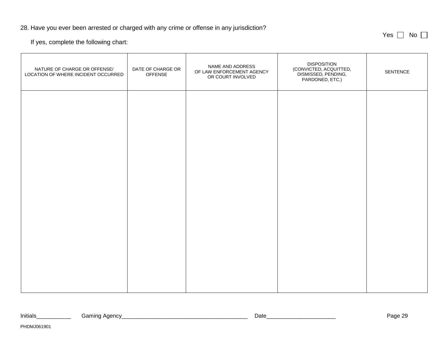#### 28. Have you ever been arrested or charged with any crime or offense in any jurisdiction?

If yes, complete the following chart:

PHDMJ061901

| NATURE OF CHARGE OR OFFENSE/<br>LOCATION OF WHERE INCIDENT OCCURRED | DATE OF CHARGE OR<br><b>OFFENSE</b> | NAME AND ADDRESS<br>OF LAW ENFORCEMENT AGENCY<br>OR COURT INVOLVED | <b>DISPOSITION</b><br>(CONVICTED, ACQUITTED,<br>DISMISSED, PENDING,<br>PARDONED, ETC.) | SENTENCE |
|---------------------------------------------------------------------|-------------------------------------|--------------------------------------------------------------------|----------------------------------------------------------------------------------------|----------|
|                                                                     |                                     |                                                                    |                                                                                        |          |
|                                                                     |                                     |                                                                    |                                                                                        |          |
|                                                                     |                                     |                                                                    |                                                                                        |          |
|                                                                     |                                     |                                                                    |                                                                                        |          |
|                                                                     |                                     |                                                                    |                                                                                        |          |
|                                                                     |                                     |                                                                    |                                                                                        |          |

Yes No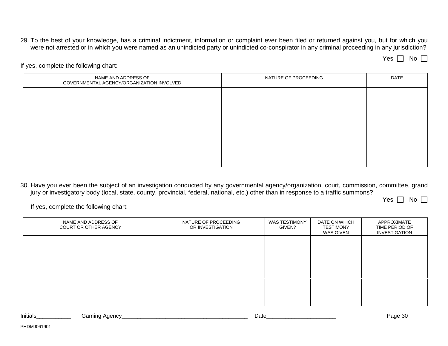29. To the best of your knowledge, has a criminal indictment, information or complaint ever been filed or returned against you, but for which you were not arrested or in which you were named as an unindicted party or unindicted co-conspirator in any criminal proceeding in any jurisdiction?

Yes | | No

If yes, complete the following chart:

| NAME AND ADDRESS OF<br>GOVERNMENTAL AGENCY/ORGANIZATION INVOLVED | NATURE OF PROCEEDING | DATE |
|------------------------------------------------------------------|----------------------|------|
|                                                                  |                      |      |
|                                                                  |                      |      |
|                                                                  |                      |      |
|                                                                  |                      |      |
|                                                                  |                      |      |
|                                                                  |                      |      |

30. Have you ever been the subject of an investigation conducted by any governmental agency/organization, court, commission, committee, grand jury or investigatory body (local, state, county, provincial, federal, national, etc.) other than in response to a traffic summons?

Yes | | No

| NAME AND ADDRESS OF<br>COURT OR OTHER AGENCY | NATURE OF PROCEEDING<br>OR INVESTIGATION | <b>WAS TESTIMONY</b><br>GIVEN? | DATE ON WHICH<br><b>TESTIMONY</b><br>WAS GIVEN | APPROXIMATE<br>TIME PERIOD OF<br>INVESTIGATION |
|----------------------------------------------|------------------------------------------|--------------------------------|------------------------------------------------|------------------------------------------------|
|                                              |                                          |                                |                                                |                                                |
|                                              |                                          |                                |                                                |                                                |
|                                              |                                          |                                |                                                |                                                |
|                                              |                                          |                                |                                                |                                                |

| Initials | Agency<br>amıno۔ | Jate | $\sim$<br>, המנ<br>ำน<br>ື |
|----------|------------------|------|----------------------------|
|          |                  |      |                            |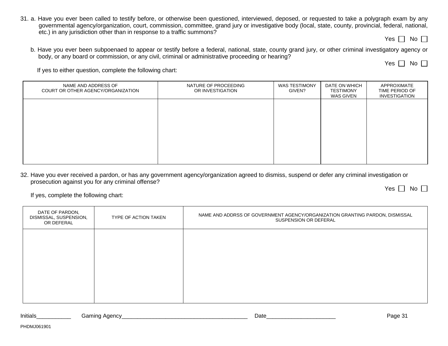31. a. Have you ever been called to testify before, or otherwise been questioned, interviewed, deposed, or requested to take a polygraph exam by any governmental agency/organization, court, commission, committee, grand jury or investigative body (local, state, county, provincial, federal, national, etc.) in any jurisdiction other than in response to a traffic summons?

Yes  $\Box$  No  $\Box$ 

b. Have you ever been subpoenaed to appear or testify before a federal, national, state, county grand jury, or other criminal investigatory agency or body, or any board or commission, or any civil, criminal or administrative proceeding or hearing?

Yes  $\Box$  No  $\Box$ 

If yes to either question, complete the following chart:

| NAME AND ADDRESS OF<br>COURT OR OTHER AGENCY/ORGANIZATION | NATURE OF PROCEEDING<br>OR INVESTIGATION | <b>WAS TESTIMONY</b><br>GIVEN? | DATE ON WHICH<br><b>TESTIMONY</b><br>WAS GIVEN | APPROXIMATE<br>TIME PERIOD OF<br><b>INVESTIGATION</b> |
|-----------------------------------------------------------|------------------------------------------|--------------------------------|------------------------------------------------|-------------------------------------------------------|
|                                                           |                                          |                                |                                                |                                                       |
|                                                           |                                          |                                |                                                |                                                       |
|                                                           |                                          |                                |                                                |                                                       |
|                                                           |                                          |                                |                                                |                                                       |

32. Have you ever received a pardon, or has any government agency/organization agreed to dismiss, suspend or defer any criminal investigation or prosecution against you for any criminal offense? Yes  $\Box$  No  $\Box$ 

If yes, complete the following chart:

| DATE OF PARDON,<br>DISMISSAL, SUSPENSION,<br>OR DEFERAL | TYPE OF ACTION TAKEN | NAME AND ADDRSS OF GOVERNMENT AGENCY/ORGANIZATION GRANTING PARDON, DISMISSAL<br>SUSPENSION OR DEFERAL |
|---------------------------------------------------------|----------------------|-------------------------------------------------------------------------------------------------------|
|                                                         |                      |                                                                                                       |
|                                                         |                      |                                                                                                       |
|                                                         |                      |                                                                                                       |
|                                                         |                      |                                                                                                       |

Initials\_\_\_\_\_\_\_\_\_\_\_ Gaming Agency\_\_\_\_\_\_\_\_\_\_\_\_\_\_\_\_\_\_\_\_\_\_\_\_\_\_\_\_\_\_\_\_\_\_\_\_\_\_\_\_ Date\_\_\_\_\_\_\_\_\_\_\_\_\_\_\_\_\_\_\_\_\_\_ Page 31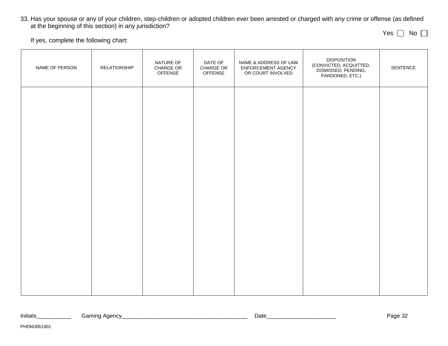33. Has your spouse or any of your children, step-children or adopted children ever been arrested or charged with any crime or offense (as defined at the beginning of this section) in any jurisdiction?

Yes  $\bigsqcup$  No

If yes, complete the following chart:

| NAME OF PERSON | <b>RELATIONSHIP</b> | NATURE OF<br>CHARGE OR<br><b>OFFENSE</b> | DATE OF<br>CHARGE OR<br><b>OFFENSE</b> | NAME & ADDRESS OF LAW<br>ENFORCEMENT AGENCY<br>OR COURT INVOLVED | <b>DISPOSITION</b><br>(CONVICTED, ACQUITTED,<br>DISMISSED, PENDING,<br>PARDONED, ETC.) | SENTENCE |
|----------------|---------------------|------------------------------------------|----------------------------------------|------------------------------------------------------------------|----------------------------------------------------------------------------------------|----------|
|                |                     |                                          |                                        |                                                                  |                                                                                        |          |
|                |                     |                                          |                                        |                                                                  |                                                                                        |          |
|                |                     |                                          |                                        |                                                                  |                                                                                        |          |
|                |                     |                                          |                                        |                                                                  |                                                                                        |          |
|                |                     |                                          |                                        |                                                                  |                                                                                        |          |
|                |                     |                                          |                                        |                                                                  |                                                                                        |          |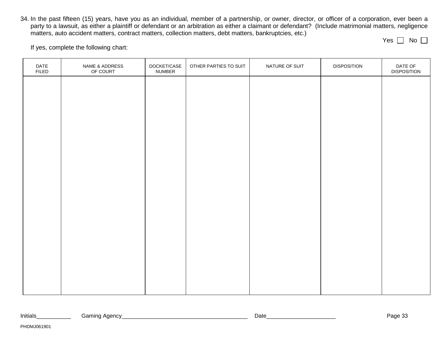34. In the past fifteen (15) years, have you as an individual, member of a partnership, or owner, director, or officer of a corporation, ever been a party to a lawsuit, as either a plaintiff or defendant or an arbitration as either a claimant or defendant? (Include matrimonial matters, negligence matters, auto accident matters, contract matters, collection matters, debt matters, bankruptcies, etc.)

If yes, complete the following chart:

| DATE<br><b>FILED</b> | NAME & ADDRESS<br>OF COURT | DOCKET/CASE<br>NUMBER | OTHER PARTIES TO SUIT | NATURE OF SUIT | <b>DISPOSITION</b> | DATE OF<br><b>DISPOSITION</b> |
|----------------------|----------------------------|-----------------------|-----------------------|----------------|--------------------|-------------------------------|
|                      |                            |                       |                       |                |                    |                               |
|                      |                            |                       |                       |                |                    |                               |
|                      |                            |                       |                       |                |                    |                               |
|                      |                            |                       |                       |                |                    |                               |
|                      |                            |                       |                       |                |                    |                               |
|                      |                            |                       |                       |                |                    |                               |
|                      |                            |                       |                       |                |                    |                               |
|                      |                            |                       |                       |                |                    |                               |
|                      |                            |                       |                       |                |                    |                               |
|                      |                            |                       |                       |                |                    |                               |
|                      |                            |                       |                       |                |                    |                               |
|                      |                            |                       |                       |                |                    |                               |

Yes | | No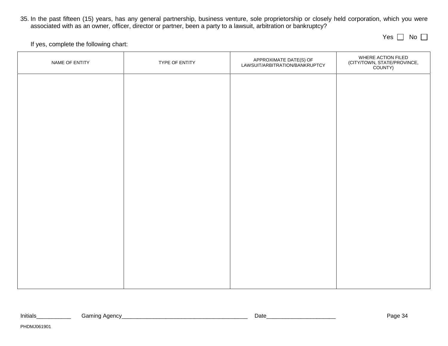35. In the past fifteen (15) years, has any general partnership, business venture, sole proprietorship or closely held corporation, which you were associated with as an owner, officer, director or partner, been a party to a lawsuit, arbitration or bankruptcy?

Yes | | No

If yes, complete the following chart:

| NAME OF ENTITY | TYPE OF ENTITY | APPROXIMATE DATE(S) OF<br>LAWSUIT/ARBITRATION/BANKRUPTCY | WHERE ACTION FILED<br>(CITY/TOWN, STATE/PROVINCE,<br>COUNTY) |
|----------------|----------------|----------------------------------------------------------|--------------------------------------------------------------|
|                |                |                                                          |                                                              |
|                |                |                                                          |                                                              |
|                |                |                                                          |                                                              |
|                |                |                                                          |                                                              |
|                |                |                                                          |                                                              |
|                |                |                                                          |                                                              |
|                |                |                                                          |                                                              |
|                |                |                                                          |                                                              |
|                |                |                                                          |                                                              |
|                |                |                                                          |                                                              |

| .<br>Initials | . Anone<br>Gamınd<br><b>OUGHUL</b><br>. . | Date | ^^^^^<br>-auc |
|---------------|-------------------------------------------|------|---------------|
|               |                                           |      |               |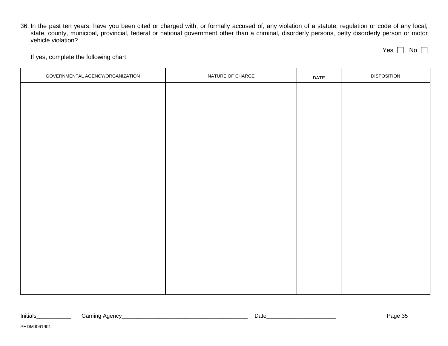36. In the past ten years, have you been cited or charged with, or formally accused of, any violation of a statute, regulation or code of any local, state, county, municipal, provincial, federal or national government other than a criminal, disorderly persons, petty disorderly person or motor vehicle violation?

<u> 1989 - Johann Stoff, amerikansk politiker (d. 1989)</u>

| -- | n<br>н |  |
|----|--------|--|
|    |        |  |

If yes, complete the following chart:

| GOVERNMENTAL AGENCY/ORGANIZATION | NATURE OF CHARGE | DATE | <b>DISPOSITION</b> |
|----------------------------------|------------------|------|--------------------|
|                                  |                  |      |                    |
|                                  |                  |      |                    |
|                                  |                  |      |                    |
|                                  |                  |      |                    |
|                                  |                  |      |                    |
|                                  |                  |      |                    |
|                                  |                  |      |                    |
|                                  |                  |      |                    |
|                                  |                  |      |                    |
|                                  |                  |      |                    |
|                                  |                  |      |                    |
|                                  |                  |      |                    |
|                                  |                  |      |                    |
|                                  |                  |      |                    |
|                                  |                  |      |                    |
|                                  |                  |      |                    |
|                                  |                  |      |                    |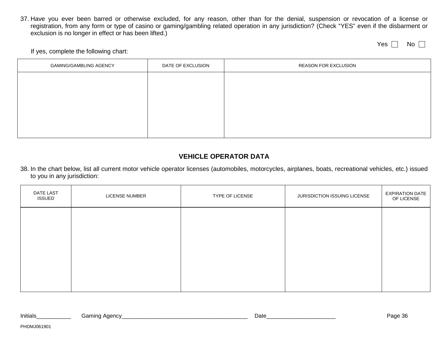37. Have you ever been barred or otherwise excluded, for any reason, other than for the denial, suspension or revocation of a license or registration, from any form or type of casino or gaming/gambling related operation in any jurisdiction? (Check "YES" even if the disbarment or exclusion is no longer in effect or has been lifted.)

Yes  $\Box$  No  $\Box$ 

#### If yes, complete the following chart:

| <b>GAMING/GAMBLING AGENCY</b> | DATE OF EXCLUSION | <b>REASON FOR EXCLUSION</b> |
|-------------------------------|-------------------|-----------------------------|
|                               |                   |                             |
|                               |                   |                             |
|                               |                   |                             |
|                               |                   |                             |
|                               |                   |                             |

### **VEHICLE OPERATOR DATA**

38. In the chart below, list all current motor vehicle operator licenses (automobiles, motorcycles, airplanes, boats, recreational vehicles, etc.) issued to you in any jurisdiction:

| DATE LAST<br><b>ISSUED</b> | LICENSE NUMBER | TYPE OF LICENSE | JURISDICTION ISSUING LICENSE | <b>EXPIRATION DATE</b><br>OF LICENSE |
|----------------------------|----------------|-----------------|------------------------------|--------------------------------------|
|                            |                |                 |                              |                                      |
|                            |                |                 |                              |                                      |
|                            |                |                 |                              |                                      |
|                            |                |                 |                              |                                      |

| Initials | encv<br>iamın<br>пu. | Date | <b>പറ</b> ∝<br><br>۔ ۔<br>. . |
|----------|----------------------|------|-------------------------------|
|          |                      |      |                               |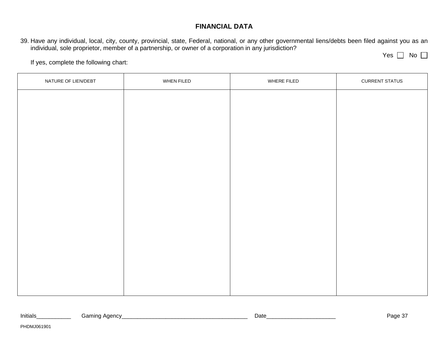### **FINANCIAL DATA**

39. Have any individual, local, city, county, provincial, state, Federal, national, or any other governmental liens/debts been filed against you as an individual, sole proprietor, member of a partnership, or owner of a corporation in any jurisdiction?

Yes No

| NATURE OF LIEN/DEBT | WHEN FILED | WHERE FILED | <b>CURRENT STATUS</b> |
|---------------------|------------|-------------|-----------------------|
|                     |            |             |                       |
|                     |            |             |                       |
|                     |            |             |                       |
|                     |            |             |                       |
|                     |            |             |                       |
|                     |            |             |                       |
|                     |            |             |                       |
|                     |            |             |                       |
|                     |            |             |                       |
|                     |            |             |                       |
|                     |            |             |                       |
|                     |            |             |                       |
|                     |            |             |                       |

| $\cdots$<br>Initials | . Adency<br>amınظ | ⊃ate | $\sim$<br>-auc<br>. . |
|----------------------|-------------------|------|-----------------------|
|                      |                   |      |                       |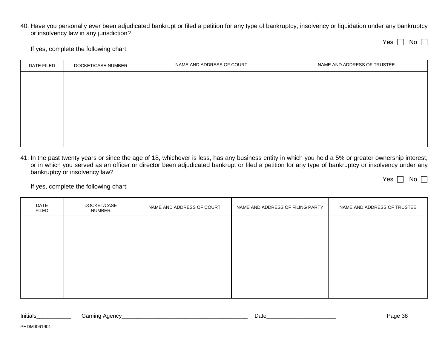40. Have you personally ever been adjudicated bankrupt or filed a petition for any type of bankruptcy, insolvency or liquidation under any bankruptcy or insolvency law in any jurisdiction?

| Y<br>es |  | Nο |  |
|---------|--|----|--|
|---------|--|----|--|

Yes  $\Box$  No  $\Box$ 

If yes, complete the following chart:

| DATE FILED | DOCKET/CASE NUMBER | NAME AND ADDRESS OF COURT | NAME AND ADDRESS OF TRUSTEE |
|------------|--------------------|---------------------------|-----------------------------|
|            |                    |                           |                             |
|            |                    |                           |                             |
|            |                    |                           |                             |
|            |                    |                           |                             |
|            |                    |                           |                             |
|            |                    |                           |                             |
|            |                    |                           |                             |

41. In the past twenty years or since the age of 18, whichever is less, has any business entity in which you held a 5% or greater ownership interest, or in which you served as an officer or director been adjudicated bankrupt or filed a petition for any type of bankruptcy or insolvency under any bankruptcy or insolvency law?

| DATE<br><b>FILED</b> | DOCKET/CASE<br>NUMBER | NAME AND ADDRESS OF COURT | NAME AND ADDRESS OF FILING PARTY | NAME AND ADDRESS OF TRUSTEE |
|----------------------|-----------------------|---------------------------|----------------------------------|-----------------------------|
|                      |                       |                           |                                  |                             |
|                      |                       |                           |                                  |                             |
|                      |                       |                           |                                  |                             |
|                      |                       |                           |                                  |                             |
|                      |                       |                           |                                  |                             |

| Initials | Gamınd<br>Aaencv | Date | ົດດ<br>1200<br>aue oc<br>. . |
|----------|------------------|------|------------------------------|
|          |                  |      |                              |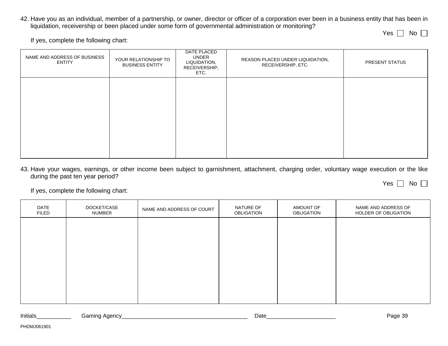42. Have you as an individual, member of a partnership, or owner, director or officer of a corporation ever been in a business entity that has been in liquidation, receivership or been placed under some form of governmental administration or monitoring?

If yes, complete the following chart:

| NAME AND ADDRESS OF BUSINESS<br>ENTITY | YOUR RELATIONSHIP TO<br><b>BUSINESS ENTITY</b> | DATE PLACED<br>UNDER<br>LIQUIDATION,<br>RECEIVERSHIP,<br>ETC. | REASON PLACED UNDER LIQUIDATION,<br>RECEIVERSHIP, ETC. | PRESENT STATUS |
|----------------------------------------|------------------------------------------------|---------------------------------------------------------------|--------------------------------------------------------|----------------|
|                                        |                                                |                                                               |                                                        |                |
|                                        |                                                |                                                               |                                                        |                |
|                                        |                                                |                                                               |                                                        |                |

43. Have your wages, earnings, or other income been subject to garnishment, attachment, charging order, voluntary wage execution or the like during the past ten year period?

If yes, complete the following chart:

| DATE<br><b>FILED</b> | DOCKET/CASE<br>NUMBER | NAME AND ADDRESS OF COURT | NATURE OF<br><b>OBLIGATION</b> | AMOUNT OF<br>OBLIGATION | NAME AND ADDRESS OF<br>HOLDER OF OBLIGATION |
|----------------------|-----------------------|---------------------------|--------------------------------|-------------------------|---------------------------------------------|
|                      |                       |                           |                                |                         |                                             |
|                      |                       |                           |                                |                         |                                             |
|                      |                       |                           |                                |                         |                                             |
|                      |                       |                           |                                |                         |                                             |
|                      |                       |                           |                                |                         |                                             |

| Initials | "<br>' agnov<br>$\cdots$<br>טוי | Date | ົ<br>12000<br>≺∪<br>auv.<br>ັບພ |
|----------|---------------------------------|------|---------------------------------|
|          |                                 |      |                                 |

| No<br>L |
|---------|
|---------|

Yes No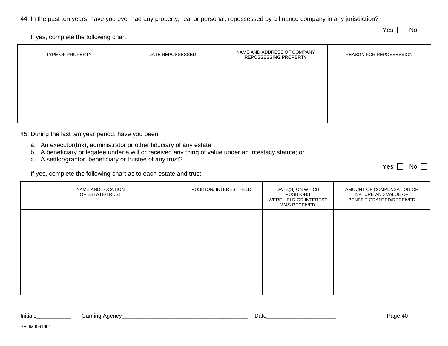44. In the past ten years, have you ever had any property, real or personal, repossessed by a finance company in any jurisdiction?

Yes  $\Box$  No  $\Box$ 

If yes, complete the following chart:

| TYPE OF PROPERTY | DATE REPOSSESSED | NAME AND ADDRESS OF COMPANY<br>REPOSSESSING PROPERTY | REASON FOR REPOSSESSION |
|------------------|------------------|------------------------------------------------------|-------------------------|
|                  |                  |                                                      |                         |
|                  |                  |                                                      |                         |
|                  |                  |                                                      |                         |

45. During the last ten year period, have you been:

- a. An executor(trix), administrator or other fiduciary of any estate;
- b. A beneficiary or legatee under a will or received any thing of value under an intestacy statute; or
- c. A settlor/grantor, beneficiary or trustee of any trust?

If yes, complete the following chart as to each estate and trust:

| NAME AND LOCATION<br>OF ESTATE/TRUST | POSITION/ INTEREST HELD | DATE(S) ON WHICH<br><b>POSITIONS</b><br>WERE HELD OR INTEREST<br>WAS RECEIVED | AMOUNT OF COMPENSATION OR<br>NATURE AND VALUE OF<br>BENEFIT GRANTED/RECEIVED |
|--------------------------------------|-------------------------|-------------------------------------------------------------------------------|------------------------------------------------------------------------------|
|                                      |                         |                                                                               |                                                                              |
|                                      |                         |                                                                               |                                                                              |
|                                      |                         |                                                                               |                                                                              |
|                                      |                         |                                                                               |                                                                              |

| Initials | Agency<br>amınoث | Date | יימר '<br>,,,,<br>-aue<br>т. |
|----------|------------------|------|------------------------------|
|          |                  |      |                              |

Yes | | No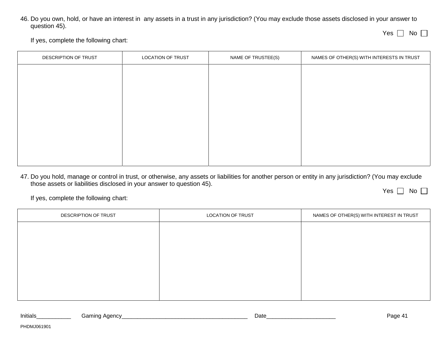46. Do you own, hold, or have an interest in any assets in a trust in any jurisdiction? (You may exclude those assets disclosed in your answer to question 45).

If yes, complete the following chart:

| DESCRIPTION OF TRUST | LOCATION OF TRUST | NAME OF TRUSTEE(S) | NAMES OF OTHER(S) WITH INTERESTS IN TRUST |
|----------------------|-------------------|--------------------|-------------------------------------------|
|                      |                   |                    |                                           |
|                      |                   |                    |                                           |
|                      |                   |                    |                                           |
|                      |                   |                    |                                           |
|                      |                   |                    |                                           |
|                      |                   |                    |                                           |
|                      |                   |                    |                                           |
|                      |                   |                    |                                           |

47. Do you hold, manage or control in trust, or otherwise, any assets or liabilities for another person or entity in any jurisdiction? (You may exclude those assets or liabilities disclosed in your answer to question 45).

Yes | | No

Yes No

If yes, complete the following chart:

| DESCRIPTION OF TRUST | LOCATION OF TRUST | NAMES OF OTHER(S) WITH INTEREST IN TRUST |
|----------------------|-------------------|------------------------------------------|
|                      |                   |                                          |
|                      |                   |                                          |
|                      |                   |                                          |
|                      |                   |                                          |
|                      |                   |                                          |
|                      |                   |                                          |

| Initials | Aaencv  | Date | ∩∩ח  |
|----------|---------|------|------|
| Gamınd   | $\cdot$ |      | aue. |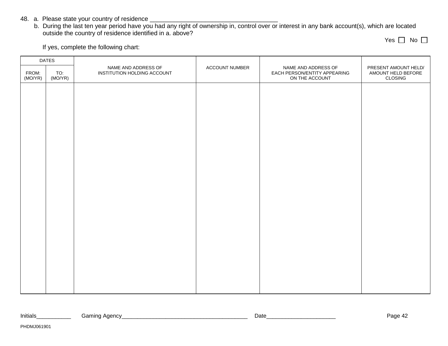- 48. a. Please state your country of residence \_\_\_\_\_\_\_\_\_\_\_\_\_\_\_\_\_\_\_\_\_\_\_\_\_\_\_\_\_\_\_\_
	- b. During the last ten year period have you had any right of ownership in, control over or interest in any bank account(s), which are located outside the country of residence identified in a. above?

Yes ∐ No

| <b>DATES</b>     |                |                                                    |                |                                                                       |                                                       |
|------------------|----------------|----------------------------------------------------|----------------|-----------------------------------------------------------------------|-------------------------------------------------------|
| FROM:<br>(MO/YR) | TO:<br>(MO/YR) | NAME AND ADDRESS OF<br>INSTITUTION HOLDING ACCOUNT | ACCOUNT NUMBER | NAME AND ADDRESS OF<br>EACH PERSON/ENTITY APPEARING<br>ON THE ACCOUNT | PRESENT AMOUNT HELD/<br>AMOUNT HELD BEFORE<br>CLOSING |
|                  |                |                                                    |                |                                                                       |                                                       |
|                  |                |                                                    |                |                                                                       |                                                       |
|                  |                |                                                    |                |                                                                       |                                                       |
|                  |                |                                                    |                |                                                                       |                                                       |
|                  |                |                                                    |                |                                                                       |                                                       |
|                  |                |                                                    |                |                                                                       |                                                       |
|                  |                |                                                    |                |                                                                       |                                                       |
|                  |                |                                                    |                |                                                                       |                                                       |
|                  |                |                                                    |                |                                                                       |                                                       |
|                  |                |                                                    |                |                                                                       |                                                       |
|                  |                |                                                    |                |                                                                       |                                                       |
|                  |                |                                                    |                |                                                                       |                                                       |
|                  |                |                                                    |                |                                                                       |                                                       |
|                  |                |                                                    |                |                                                                       |                                                       |
|                  |                |                                                    |                |                                                                       |                                                       |
|                  |                |                                                    |                |                                                                       |                                                       |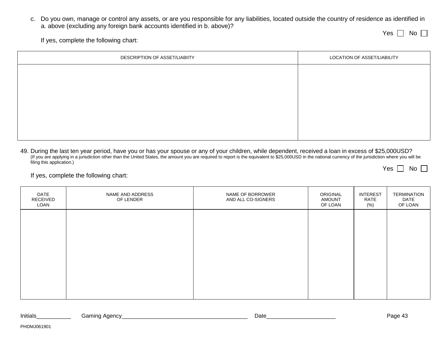c. Do you own, manage or control any assets, or are you responsible for any liabilities, located outside the country of residence as identified in a. above (excluding any foreign bank accounts identified in b. above)?

Yes No

If yes, complete the following chart:

| DESCRIPTION OF ASSET/LIABIITY | LOCATION OF ASSET/LIABILITY |
|-------------------------------|-----------------------------|
|                               |                             |
|                               |                             |
|                               |                             |
|                               |                             |
|                               |                             |
|                               |                             |

49. During the last ten year period, have you or has your spouse or any of your children, while dependent, received a loan in excess of \$25,000USD? (If you are applying in a jurisdiction other than the United States, the amount you are required to report is the equivalent to \$25,000USD in the national currency of the jurisdiction where you will be filing this application.) Yes  $\Box$  No  $\Box$ 

| DATE<br>RECEIVED<br>LOAN | NAME AND ADDRESS<br>OF LENDER | NAME OF BORROWER<br>AND ALL CO-SIGNERS | ORIGINAL<br><b>AMOUNT</b><br>OF LOAN | <b>INTEREST</b><br>RATE<br>$(\% )$ | TERMINATION<br>DATE<br>OF LOAN |
|--------------------------|-------------------------------|----------------------------------------|--------------------------------------|------------------------------------|--------------------------------|
|                          |                               |                                        |                                      |                                    |                                |
|                          |                               |                                        |                                      |                                    |                                |
|                          |                               |                                        |                                      |                                    |                                |
|                          |                               |                                        |                                      |                                    |                                |

| Initials<br>Date<br>iamınd<br>vaeucy<br>. | .<br>auc: |
|-------------------------------------------|-----------|
|-------------------------------------------|-----------|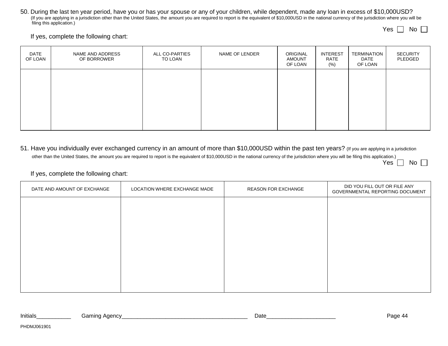50. During the last ten year period, have you or has your spouse or any of your children, while dependent, made any loan in excess of \$10,000USD? (If you are applying in a jurisdiction other than the United States, the amount you are required to report is the equivalent of \$10,000USD in the national currency of the jurisdiction where you will be filing this application.)

Yes  $\Box$  No  $\Box$ 

If yes, complete the following chart:

| DATE<br>OF LOAN | NAME AND ADDRESS<br>OF BORROWER | ALL CO-PARTIES<br>TO LOAN | NAME OF LENDER | ORIGINAL<br><b>AMOUNT</b><br>OF LOAN | <b>INTEREST</b><br>RATE<br>(%) | TERMINATION<br>DATE<br>OF LOAN | <b>SECURITY</b><br>PLEDGED |
|-----------------|---------------------------------|---------------------------|----------------|--------------------------------------|--------------------------------|--------------------------------|----------------------------|
|                 |                                 |                           |                |                                      |                                |                                |                            |
|                 |                                 |                           |                |                                      |                                |                                |                            |
|                 |                                 |                           |                |                                      |                                |                                |                            |

51. Have you individually ever exchanged currency in an amount of more than \$10,000USD within the past ten years? (If you are applying in a jurisdiction other than the United States, the amount you are required to report is the equivalent of \$10,000USD in the national currency of the jurisdiction where you will be filing this application.) Yes | | No

#### If yes, complete the following chart:

| DATE AND AMOUNT OF EXCHANGE | LOCATION WHERE EXCHANGE MADE | <b>REASON FOR EXCHANGE</b> | DID YOU FILL OUT OR FILE ANY<br>GOVERNMENTAL REPORTING DOCUMENT |
|-----------------------------|------------------------------|----------------------------|-----------------------------------------------------------------|
|                             |                              |                            |                                                                 |
|                             |                              |                            |                                                                 |
|                             |                              |                            |                                                                 |
|                             |                              |                            |                                                                 |
|                             |                              |                            |                                                                 |
|                             |                              |                            |                                                                 |

| Initials | iamınd<br>Anoncy<br>ाताम<br>$\sim$ | Date | Paα∈<br>(11) |
|----------|------------------------------------|------|--------------|
|          |                                    |      |              |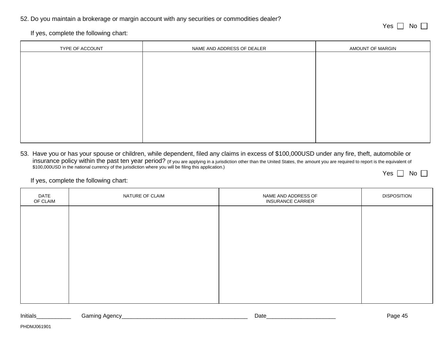#### 52. Do you maintain a brokerage or margin account with any securities or commodities dealer?

Yes No

Yes | | No

If yes, complete the following chart:

| TYPE OF ACCOUNT | NAME AND ADDRESS OF DEALER | AMOUNT OF MARGIN |
|-----------------|----------------------------|------------------|
|                 |                            |                  |
|                 |                            |                  |
|                 |                            |                  |
|                 |                            |                  |
|                 |                            |                  |
|                 |                            |                  |
|                 |                            |                  |
|                 |                            |                  |
|                 |                            |                  |

53. Have you or has your spouse or children, while dependent, filed any claims in excess of \$100,000USD under any fire, theft, automobile or insurance policy within the past ten year period? (If you are applying in a jurisdiction other than the United States, the amount you are required to report is the equivalent of \$100,000USD in the national currency of the jurisdiction where you will be filing this application.)

If yes, complete the following chart:

| <b>DATE</b><br>OF CLAIM | NATURE OF CLAIM | NAME AND ADDRESS OF<br><b>INSURANCE CARRIER</b> | <b>DISPOSITION</b> |
|-------------------------|-----------------|-------------------------------------------------|--------------------|
|                         |                 |                                                 |                    |
|                         |                 |                                                 |                    |
|                         |                 |                                                 |                    |
|                         |                 |                                                 |                    |
|                         |                 |                                                 |                    |
|                         |                 |                                                 |                    |

| Initials | amına Adencyٽ<br>$\cdot$ | Date | 3000<br>$\sqrt{2}$<br>auc<br>᠇ᡂ |
|----------|--------------------------|------|---------------------------------|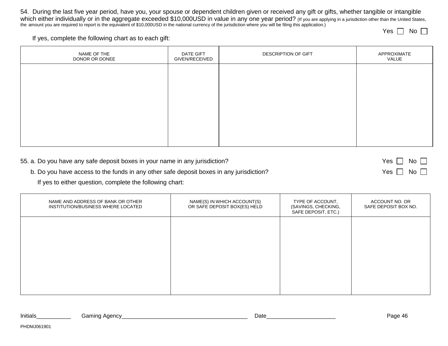54. During the last five year period, have you, your spouse or dependent children given or received any gift or gifts, whether tangible or intangible which either individually or in the aggregate exceeded \$10,000USD in value in any one year period? (If you are applying in a jurisdiction other than the United States,<br>the amount you are required to report is the equivalen

Yes | | No

If yes, complete the following chart as to each gift:

| NAME OF THE<br>DONOR OR DONEE | DATE GIFT<br>GIVEN/RECEIVED | DESCRIPTION OF GIFT | APPROXIMATE<br>VALUE |
|-------------------------------|-----------------------------|---------------------|----------------------|
|                               |                             |                     |                      |
|                               |                             |                     |                      |
|                               |                             |                     |                      |
|                               |                             |                     |                      |
|                               |                             |                     |                      |

| 55. a. Do you have any safe deposit boxes in your name in any jurisdiction?             | Yes $\Box$ No $\Box$ |
|-----------------------------------------------------------------------------------------|----------------------|
| b. Do you have access to the funds in any other safe deposit boxes in any jurisdiction? | Yes $\Box$ No $\Box$ |

If yes to either question, complete the following chart:

| NAME AND ADDRESS OF BANK OR OTHER<br>INSTITUTION/BUSINESS WHERE LOCATED | NAME(S) IN WHICH ACCOUNT(S)<br>OR SAFE DEPOSIT BOX(ES) HELD | TYPE OF ACCOUNT,<br>(SAVINGS, CHECKING,<br>SAFE DEPOSIT, ETC.) | ACCOUNT NO. OR<br>SAFE DEPOSIT BOX NO. |
|-------------------------------------------------------------------------|-------------------------------------------------------------|----------------------------------------------------------------|----------------------------------------|
|                                                                         |                                                             |                                                                |                                        |
|                                                                         |                                                             |                                                                |                                        |
|                                                                         |                                                             |                                                                |                                        |
|                                                                         |                                                             |                                                                |                                        |

| Initials | Agency<br>amın. | Date | $\overline{\phantom{a}}$<br>Дk<br>-auc<br>$\cdot$ |
|----------|-----------------|------|---------------------------------------------------|
|          |                 |      |                                                   |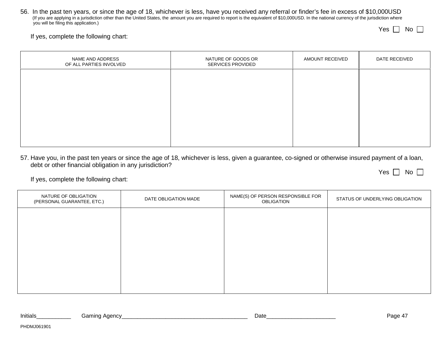56. In the past ten years, or since the age of 18, whichever is less, have you received any referral or finder's fee in excess of \$10,000USD (If you are applying in a jurisdiction other than the United States, the amount you are required to report is the equivalent of \$10,000USD. In the national currency of the jurisdiction where you will be filing this application.)

Yes | | No

Yes | | No

If yes, complete the following chart:

| NAME AND ADDRESS<br>OF ALL PARTIES INVOLVED | NATURE OF GOODS OR<br>SERVICES PROVIDED | AMOUNT RECEIVED | DATE RECEIVED |
|---------------------------------------------|-----------------------------------------|-----------------|---------------|
|                                             |                                         |                 |               |
|                                             |                                         |                 |               |
|                                             |                                         |                 |               |
|                                             |                                         |                 |               |
|                                             |                                         |                 |               |

57. Have you, in the past ten years or since the age of 18, whichever is less, given a guarantee, co-signed or otherwise insured payment of a loan, debt or other financial obligation in any jurisdiction?

| NATURE OF OBLIGATION<br>(PERSONAL GUARANTEE, ETC.) | DATE OBLIGATION MADE | NAME(S) OF PERSON RESPONSIBLE FOR<br><b>OBLIGATION</b> | STATUS OF UNDERLYING OBLIGATION |
|----------------------------------------------------|----------------------|--------------------------------------------------------|---------------------------------|
|                                                    |                      |                                                        |                                 |
|                                                    |                      |                                                        |                                 |
|                                                    |                      |                                                        |                                 |
|                                                    |                      |                                                        |                                 |
|                                                    |                      |                                                        |                                 |

| Initials | Agency<br>aminoذ |  | Date | Page |
|----------|------------------|--|------|------|
|----------|------------------|--|------|------|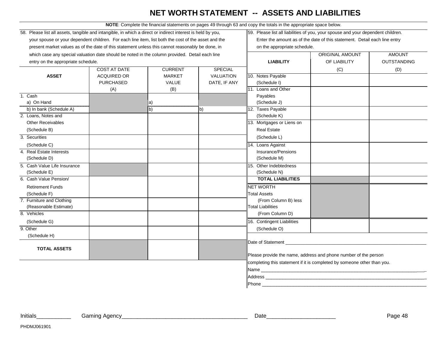# **NET WORTH STATEMENT -- ASSETS AND LIABILITIES**

**NOTE**: Complete the financial statements on pages 49 through 63 and copy the totals in the appropriate space below.

| 58. Please list all assets, tangible and intangible, in which a direct or indirect interest is held by you, |                     |                | 59. Please list all liabilities of you, your spouse and your dependent children. |                                                                           |                                                                                                                      |                    |  |
|-------------------------------------------------------------------------------------------------------------|---------------------|----------------|----------------------------------------------------------------------------------|---------------------------------------------------------------------------|----------------------------------------------------------------------------------------------------------------------|--------------------|--|
| your spouse or your dependent children. For each line item, list both the cost of the asset and the         |                     |                |                                                                                  | Enter the amount as of the date of this statement. Detail each line entry |                                                                                                                      |                    |  |
| present market values as of the date of this statement unless this cannot reasonably be done, in            |                     |                |                                                                                  | on the appropriate schedule.                                              |                                                                                                                      |                    |  |
| which case any special valuation date should be noted in the column provided. Detail each line              |                     |                |                                                                                  |                                                                           | <b>ORIGINAL AMOUNT</b>                                                                                               | <b>AMOUNT</b>      |  |
| entry on the appropriate schedule.                                                                          |                     |                |                                                                                  | <b>LIABILITY</b>                                                          | OF LIABILITY                                                                                                         | <b>OUTSTANDING</b> |  |
|                                                                                                             | <b>COST AT DATE</b> | <b>CURRENT</b> | <b>SPECIAL</b>                                                                   |                                                                           | (C)                                                                                                                  | (D)                |  |
| <b>ASSET</b>                                                                                                | <b>ACQUIRED OR</b>  | <b>MARKET</b>  | <b>VALUATION</b>                                                                 | 10. Notes Payable                                                         |                                                                                                                      |                    |  |
|                                                                                                             | <b>PURCHASED</b>    | VALUE          | DATE, IF ANY                                                                     | (Schedule I)                                                              |                                                                                                                      |                    |  |
|                                                                                                             | (A)                 | (B)            |                                                                                  | 11. Loans and Other                                                       |                                                                                                                      |                    |  |
| 1. Cash                                                                                                     |                     |                |                                                                                  | Payables                                                                  |                                                                                                                      |                    |  |
| a) On Hand                                                                                                  |                     | a)             |                                                                                  | (Schedule J)                                                              |                                                                                                                      |                    |  |
| b) In bank (Schedule A)                                                                                     |                     | b)             | b)                                                                               | 12. Taxes Payable                                                         |                                                                                                                      |                    |  |
| 2. Loans, Notes and                                                                                         |                     |                |                                                                                  | (Schedule K)                                                              |                                                                                                                      |                    |  |
| <b>Other Receivables</b>                                                                                    |                     |                |                                                                                  | 13. Mortgages or Liens on                                                 |                                                                                                                      |                    |  |
| (Schedule B)                                                                                                |                     |                |                                                                                  | <b>Real Estate</b>                                                        |                                                                                                                      |                    |  |
| 3. Securities                                                                                               |                     |                |                                                                                  | (Schedule L)                                                              |                                                                                                                      |                    |  |
| (Schedule C)                                                                                                |                     |                |                                                                                  | 14. Loans Against                                                         |                                                                                                                      |                    |  |
| 4. Real Estate Interests                                                                                    |                     |                |                                                                                  | Insurance/Pensions                                                        |                                                                                                                      |                    |  |
| (Schedule D)                                                                                                |                     |                |                                                                                  | (Schedule M)                                                              |                                                                                                                      |                    |  |
| 5. Cash Value Life Insurance                                                                                |                     |                |                                                                                  | 15. Other Indebtedness                                                    |                                                                                                                      |                    |  |
| (Schedule E)                                                                                                |                     |                |                                                                                  | (Schedule N)                                                              |                                                                                                                      |                    |  |
| 6. Cash Value Pension/                                                                                      |                     |                |                                                                                  | <b>TOTAL LIABILITIES</b>                                                  |                                                                                                                      |                    |  |
| <b>Retirement Funds</b>                                                                                     |                     |                |                                                                                  | <b>NET WORTH</b>                                                          |                                                                                                                      |                    |  |
| (Schedule F)                                                                                                |                     |                |                                                                                  | <b>Total Assets</b>                                                       |                                                                                                                      |                    |  |
| 7. Furniture and Clothing                                                                                   |                     |                |                                                                                  | (From Column B) less                                                      |                                                                                                                      |                    |  |
| (Reasonable Estimate)                                                                                       |                     |                |                                                                                  | <b>Total Liabilities</b>                                                  |                                                                                                                      |                    |  |
| 8. Vehicles                                                                                                 |                     |                |                                                                                  | (From Column D)                                                           |                                                                                                                      |                    |  |
| (Schedule G)                                                                                                |                     |                |                                                                                  | 16. Contingent Liabilities                                                |                                                                                                                      |                    |  |
| 9. Other                                                                                                    |                     |                |                                                                                  | (Schedule O)                                                              |                                                                                                                      |                    |  |
| (Schedule H)                                                                                                |                     |                |                                                                                  |                                                                           |                                                                                                                      |                    |  |
|                                                                                                             |                     |                |                                                                                  | Date of Statement                                                         |                                                                                                                      |                    |  |
| <b>TOTAL ASSETS</b>                                                                                         |                     |                |                                                                                  |                                                                           |                                                                                                                      |                    |  |
|                                                                                                             |                     |                |                                                                                  | Please provide the name, address and phone number of the person           |                                                                                                                      |                    |  |
|                                                                                                             |                     |                |                                                                                  | completing this statement if it is completed by someone other than you.   |                                                                                                                      |                    |  |
|                                                                                                             |                     |                |                                                                                  | Name                                                                      | <u> 1980 - Johann Stein, marwolaethau a bhann an t-Amhain an t-Amhain an t-Amhain an t-Amhain an t-Amhain an t-A</u> |                    |  |
|                                                                                                             |                     |                |                                                                                  | Address                                                                   |                                                                                                                      |                    |  |
|                                                                                                             |                     |                |                                                                                  | Phone                                                                     |                                                                                                                      |                    |  |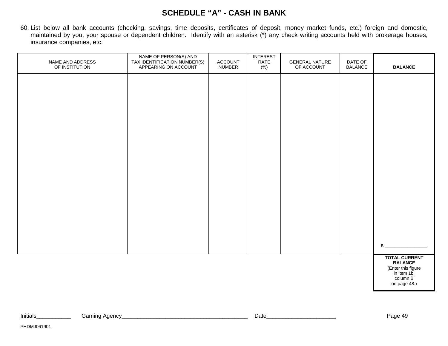## **SCHEDULE "A" - CASH IN BANK**

60. List below all bank accounts (checking, savings, time deposits, certificates of deposit, money market funds, etc.) foreign and domestic, maintained by you, your spouse or dependent children. Identify with an asterisk (\*) any check writing accounts held with brokerage houses, insurance companies, etc.

| NAME AND ADDRESS<br>OF INSTITUTION | NAME OF PERSON(S) AND<br>TAX IDENTIFICATION NUMBER(S)<br>APPEARING ON ACCOUNT | ACCOUNT<br>NUMBER | <b>INTEREST</b><br>RATE<br>$(\% )$ | <b>GENERAL NATURE</b><br>OF ACCOUNT | DATE OF<br><b>BALANCE</b> | <b>BALANCE</b>                                                                                          |
|------------------------------------|-------------------------------------------------------------------------------|-------------------|------------------------------------|-------------------------------------|---------------------------|---------------------------------------------------------------------------------------------------------|
|                                    |                                                                               |                   |                                    |                                     |                           |                                                                                                         |
|                                    |                                                                               |                   |                                    |                                     |                           |                                                                                                         |
|                                    |                                                                               |                   |                                    |                                     |                           |                                                                                                         |
|                                    |                                                                               |                   |                                    |                                     |                           |                                                                                                         |
|                                    |                                                                               |                   |                                    |                                     |                           |                                                                                                         |
|                                    |                                                                               |                   |                                    |                                     |                           |                                                                                                         |
|                                    |                                                                               |                   |                                    |                                     |                           |                                                                                                         |
|                                    |                                                                               |                   |                                    |                                     |                           |                                                                                                         |
|                                    |                                                                               |                   |                                    |                                     |                           |                                                                                                         |
|                                    |                                                                               |                   |                                    |                                     |                           | \$                                                                                                      |
|                                    |                                                                               |                   |                                    |                                     |                           | <b>TOTAL CURRENT</b><br><b>BALANCE</b><br>(Enter this figure<br>in item 1b,<br>column B<br>on page 48.) |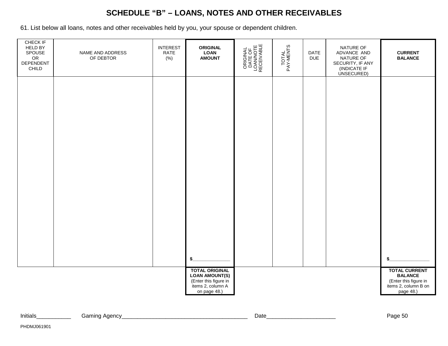# **SCHEDULE "B" – LOANS, NOTES AND OTHER RECEIVABLES**

61. List below all loans, notes and other receivables held by you, your spouse or dependent children.

| CHECK IF<br>HELD BY<br>SPOUSE<br>OR<br>DEPENDENT<br>CHILD | NAME AND ADDRESS<br>OF DEBTOR | <b>INTEREST</b><br>RATE<br>(% ) | <b>ORIGINAL</b><br><b>LOAN</b><br><b>AMOUNT</b>                                                              | ORIGINAL<br>DATE OF<br>LOAN/NOTE<br>RECEIVABLE | TOTAL<br>PAY-MENTS | DATE<br><b>DUE</b> | NATURE OF<br>ADVANCE AND<br>NATURE OF<br>SECURITY, IF ANY<br>(INDICATE IF<br>UNSECURED) | <b>CURRENT</b><br><b>BALANCE</b>                                                                     |
|-----------------------------------------------------------|-------------------------------|---------------------------------|--------------------------------------------------------------------------------------------------------------|------------------------------------------------|--------------------|--------------------|-----------------------------------------------------------------------------------------|------------------------------------------------------------------------------------------------------|
|                                                           |                               |                                 |                                                                                                              |                                                |                    |                    |                                                                                         |                                                                                                      |
|                                                           |                               |                                 |                                                                                                              |                                                |                    |                    |                                                                                         |                                                                                                      |
|                                                           |                               |                                 |                                                                                                              |                                                |                    |                    |                                                                                         |                                                                                                      |
|                                                           |                               |                                 |                                                                                                              |                                                |                    |                    |                                                                                         |                                                                                                      |
|                                                           |                               |                                 |                                                                                                              |                                                |                    |                    |                                                                                         |                                                                                                      |
|                                                           |                               |                                 | \$                                                                                                           |                                                |                    |                    |                                                                                         | \$                                                                                                   |
|                                                           |                               |                                 | <b>TOTAL ORIGINAL</b><br><b>LOAN AMOUNT(S)</b><br>(Enter this figure in<br>items 2, column A<br>on page 48.) |                                                |                    |                    |                                                                                         | <b>TOTAL CURRENT</b><br><b>BALANCE</b><br>(Enter this figure in<br>items 2, column B on<br>page 48.) |

| $\sim$ | Initials | $\Lambda$ $\Omega$<br>Gamınd<br>AUCIIU. | Date | --<br>∩מפ<br>auc- |
|--------|----------|-----------------------------------------|------|-------------------|
|--------|----------|-----------------------------------------|------|-------------------|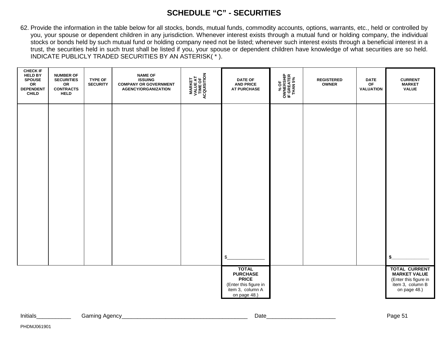## **SCHEDULE "C" - SECURITIES**

62. Provide the information in the table below for all stocks, bonds, mutual funds, commodity accounts, options, warrants, etc., held or controlled by you, your spouse or dependent children in any jurisdiction. Whenever interest exists through a mutual fund or holding company, the individual stocks or bonds held by such mutual fund or holding company need not be listed; whenever such interest exists through a beneficial interest in a trust, the securities held in such trust shall be listed if you, your spouse or dependent children have knowledge of what securities are so held. INDICATE PUBLICLY TRADED SECURITIES BY AN ASTERISK( \* ).

| <b>CHECK IF</b><br><b>HELD BY</b><br><b>SPOUSE</b><br>${\sf OR}$<br><b>DEPENDENT</b><br><b>CHILD</b> | <b>NUMBER OF</b><br><b>SECURITIES</b><br>OR<br><b>CONTRACTS</b><br><b>HELD</b> | <b>TYPE OF</b><br><b>SECURITY</b> | <b>NAME OF</b><br><b>ISSUING</b><br><b>COMPANY OR GOVERNMENT</b><br><b>AGENCY/ORGANIZATION</b> | <b>MARKET<br/>VALUE AT<br/>TIME OF<br/>ACQUISITION</b> | <b>DATE OF</b><br><b>AND PRICE</b><br><b>AT PURCHASE</b>                                                     | % OF<br>OWNERSHIP<br>IF GREATER<br>THAN 5% | <b>REGISTERED</b><br>OWNER | <b>DATE</b><br>$\mathsf{OF}% (\mathcal{M}_{\alpha}^{\ast}\!\mathcal{M}_{\alpha}^{\alpha}(\mathcal{M}_{\alpha}^{\alpha} \mathcal{M}_{\alpha}^{\alpha}(\mathcal{M}_{\alpha}^{\alpha} \mathcal{M}_{\alpha}^{\alpha} \mathcal{M}_{\alpha}^{\alpha}(\mathcal{M}_{\alpha}^{\alpha} \mathcal{M}_{\alpha}^{\alpha} \mathcal{M}_{\alpha}^{\alpha}(\mathcal{M}_{\alpha}^{\alpha} \mathcal{M}_{\alpha}^{\alpha} \mathcal{M}_{\alpha}^{\alpha}(\mathcal{M}_{\alpha}^{\alpha} \mathcal{M}_{\alpha}^{\alpha} \mathcal{M}_{\alpha}^{\alpha}(\mathcal{M}_{$<br><b>VALUATION</b> | <b>CURRENT</b><br><b>MARKET</b><br><b>VALUE</b>                                                          |
|------------------------------------------------------------------------------------------------------|--------------------------------------------------------------------------------|-----------------------------------|------------------------------------------------------------------------------------------------|--------------------------------------------------------|--------------------------------------------------------------------------------------------------------------|--------------------------------------------|----------------------------|-----------------------------------------------------------------------------------------------------------------------------------------------------------------------------------------------------------------------------------------------------------------------------------------------------------------------------------------------------------------------------------------------------------------------------------------------------------------------------------------------------------------------------------------------------------------|----------------------------------------------------------------------------------------------------------|
|                                                                                                      |                                                                                |                                   |                                                                                                |                                                        |                                                                                                              |                                            |                            |                                                                                                                                                                                                                                                                                                                                                                                                                                                                                                                                                                 |                                                                                                          |
|                                                                                                      |                                                                                |                                   |                                                                                                |                                                        |                                                                                                              |                                            |                            |                                                                                                                                                                                                                                                                                                                                                                                                                                                                                                                                                                 |                                                                                                          |
|                                                                                                      |                                                                                |                                   |                                                                                                |                                                        |                                                                                                              |                                            |                            |                                                                                                                                                                                                                                                                                                                                                                                                                                                                                                                                                                 |                                                                                                          |
|                                                                                                      |                                                                                |                                   |                                                                                                |                                                        |                                                                                                              |                                            |                            |                                                                                                                                                                                                                                                                                                                                                                                                                                                                                                                                                                 |                                                                                                          |
|                                                                                                      |                                                                                |                                   |                                                                                                |                                                        | $\mathfrak{s}$                                                                                               |                                            |                            |                                                                                                                                                                                                                                                                                                                                                                                                                                                                                                                                                                 | S.                                                                                                       |
|                                                                                                      |                                                                                |                                   |                                                                                                |                                                        | <b>TOTAL</b><br><b>PURCHASE</b><br><b>PRICE</b><br>(Enter this figure in<br>item 3, column A<br>on page 48.) |                                            |                            |                                                                                                                                                                                                                                                                                                                                                                                                                                                                                                                                                                 | <b>TOTAL CURRENT</b><br><b>MARKET VALUE</b><br>(Enter this figure in<br>item 3, column B<br>on page 48.) |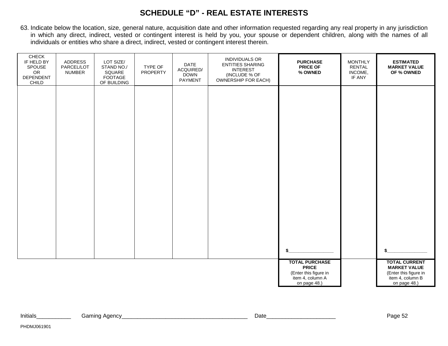### **SCHEDULE "D" - REAL ESTATE INTERESTS**

63. Indicate below the location, size, general nature, acquisition date and other information requested regarding any real property in any jurisdiction in which any direct, indirect, vested or contingent interest is held by you, your spouse or dependent children, along with the names of all individuals or entities who share a direct, indirect, vested or contingent interest therein.

| CHECK<br>IF HELD BY<br>SPOUSE<br>${\sf OR}$<br>DEPENDENT<br>CHILD | <b>ADDRESS</b><br>PARCEL/LOT<br><b>NUMBER</b> | LOT SIZE/<br>STAND NO./<br>SQUARE<br>FOOTAGE<br>OF BUILDING | TYPE OF<br>PROPERTY | DATE<br>ACQUIRED/<br><b>DOWN</b><br>PAYMENT | INDIVIDUALS OR<br><b>ENTITIES SHARING</b><br><b>INTEREST</b><br>(INCLUDE % OF<br>OWNERSHIP FOR EACH) | <b>PURCHASE</b><br><b>PRICE OF</b><br>% OWNED                                                      | <b>MONTHLY</b><br>RENTAL<br>INCOME,<br>IF ANY | <b>ESTIMATED</b><br><b>MARKET VALUE</b><br>OF % OWNED                                                    |
|-------------------------------------------------------------------|-----------------------------------------------|-------------------------------------------------------------|---------------------|---------------------------------------------|------------------------------------------------------------------------------------------------------|----------------------------------------------------------------------------------------------------|-----------------------------------------------|----------------------------------------------------------------------------------------------------------|
|                                                                   |                                               |                                                             |                     |                                             |                                                                                                      |                                                                                                    |                                               |                                                                                                          |
|                                                                   |                                               |                                                             |                     |                                             |                                                                                                      |                                                                                                    |                                               |                                                                                                          |
|                                                                   |                                               |                                                             |                     |                                             |                                                                                                      |                                                                                                    |                                               |                                                                                                          |
|                                                                   |                                               |                                                             |                     |                                             |                                                                                                      |                                                                                                    |                                               |                                                                                                          |
|                                                                   |                                               |                                                             |                     |                                             |                                                                                                      |                                                                                                    |                                               |                                                                                                          |
|                                                                   |                                               |                                                             |                     |                                             |                                                                                                      |                                                                                                    |                                               |                                                                                                          |
|                                                                   |                                               |                                                             |                     |                                             |                                                                                                      | \$                                                                                                 |                                               |                                                                                                          |
|                                                                   |                                               |                                                             |                     |                                             |                                                                                                      | <b>TOTAL PURCHASE</b><br><b>PRICE</b><br>(Enter this figure in<br>item 4, column A<br>on page 48.) |                                               | <b>TOTAL CURRENT</b><br><b>MARKET VALUE</b><br>(Enter this figure in<br>item 4, column B<br>on page 48.) |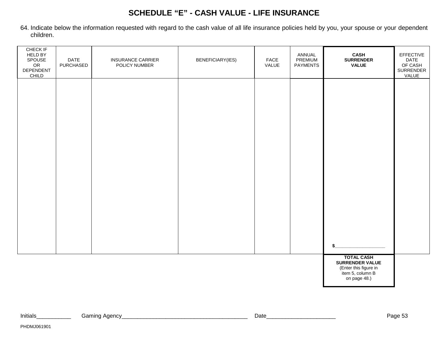## **SCHEDULE "E" - CASH VALUE - LIFE INSURANCE**

64. Indicate below the information requested with regard to the cash value of all life insurance policies held by you, your spouse or your dependent children.

| CHECK IF<br><b>HELD BY</b><br>SPOUSE<br>${\sf OR}$<br>DEPENDENT<br>CHILD | DATE<br>PURCHASED | <b>INSURANCE CARRIER</b><br>POLICY NUMBER | BENEFICIARY(IES) | ${\sf FACE}$<br>VALUE | ANNUAL<br><b>PREMIUM</b><br><b>PAYMENTS</b> | <b>CASH</b><br><b>SURRENDER</b><br><b>VALUE</b>                                                          | EFFECTIVE<br>DATE<br>OF CASH<br>SURRENDER<br>VALUE |
|--------------------------------------------------------------------------|-------------------|-------------------------------------------|------------------|-----------------------|---------------------------------------------|----------------------------------------------------------------------------------------------------------|----------------------------------------------------|
|                                                                          |                   |                                           |                  |                       |                                             |                                                                                                          |                                                    |
|                                                                          |                   |                                           |                  |                       |                                             |                                                                                                          |                                                    |
|                                                                          |                   |                                           |                  |                       |                                             |                                                                                                          |                                                    |
|                                                                          |                   |                                           |                  |                       |                                             |                                                                                                          |                                                    |
|                                                                          |                   |                                           |                  |                       |                                             |                                                                                                          |                                                    |
|                                                                          |                   |                                           |                  |                       |                                             |                                                                                                          |                                                    |
|                                                                          |                   |                                           |                  |                       |                                             | <b>TOTAL CASH</b><br><b>SURRENDER VALUE</b><br>(Enter this figure in<br>item 5, column B<br>on page 48.) |                                                    |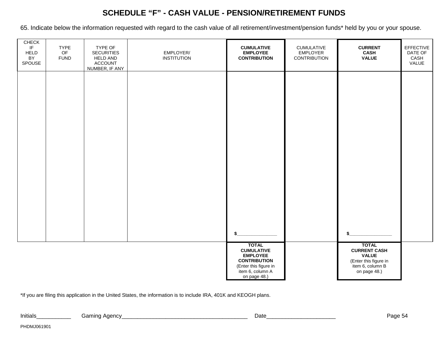## **SCHEDULE "F" - CASH VALUE - PENSION/RETIREMENT FUNDS**

65. Indicate below the information requested with regard to the cash value of all retirement/investment/pension funds\* held by you or your spouse.

| CHECK<br>IF<br><b>HELD</b><br>BY<br>SPOUSE | <b>TYPE</b><br>OF<br><b>FUND</b> | TYPE OF<br><b>SECURITIES</b><br><b>HELD AND</b><br><b>ACCOUNT</b><br>NUMBER, IF ANY | EMPLOYER/<br><b>INSTITUTION</b> | <b>CUMULATIVE</b><br><b>EMPLOYEE</b><br><b>CONTRIBUTION</b>                                                                              | CUMULATIVE<br><b>EMPLOYER</b><br><b>CONTRIBUTION</b> | <b>CURRENT</b><br><b>CASH</b><br><b>VALUE</b>                                                                          | EFFECTIVE<br>DATE OF<br>CASH<br>VALUE |
|--------------------------------------------|----------------------------------|-------------------------------------------------------------------------------------|---------------------------------|------------------------------------------------------------------------------------------------------------------------------------------|------------------------------------------------------|------------------------------------------------------------------------------------------------------------------------|---------------------------------------|
|                                            |                                  |                                                                                     |                                 |                                                                                                                                          |                                                      |                                                                                                                        |                                       |
|                                            |                                  |                                                                                     |                                 |                                                                                                                                          |                                                      |                                                                                                                        |                                       |
|                                            |                                  |                                                                                     |                                 |                                                                                                                                          |                                                      |                                                                                                                        |                                       |
|                                            |                                  |                                                                                     |                                 |                                                                                                                                          |                                                      |                                                                                                                        |                                       |
|                                            |                                  |                                                                                     |                                 |                                                                                                                                          |                                                      |                                                                                                                        |                                       |
|                                            |                                  |                                                                                     |                                 | <b>TOTAL</b><br><b>CUMULATIVE</b><br><b>EMPLOYEE</b><br><b>CONTRIBUTION</b><br>(Enter this figure in<br>item 6, column A<br>on page 48.) |                                                      | \$<br><b>TOTAL</b><br><b>CURRENT CASH</b><br><b>VALUE</b><br>(Enter this figure in<br>item 6, column B<br>on page 48.) |                                       |

\*If you are filing this application in the United States, the information is to include IRA, 401K and KEOGH plans.

Initials\_\_\_\_\_\_\_\_\_\_\_ Gaming Agency\_\_\_\_\_\_\_\_\_\_\_\_\_\_\_\_\_\_\_\_\_\_\_\_\_\_\_\_\_\_\_\_\_\_\_\_\_\_\_\_ Date\_\_\_\_\_\_\_\_\_\_\_\_\_\_\_\_\_\_\_\_\_\_ Page 54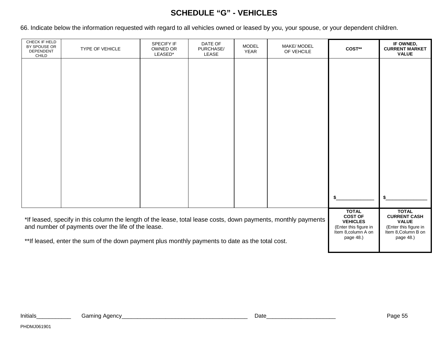# **SCHEDULE "G" - VEHICLES**

66. Indicate below the information requested with regard to all vehicles owned or leased by you, your spouse, or your dependent children.

| CHECK IF HELD<br>BY SPOUSE OR<br>DEPENDENT<br>CHILD                                                                                                                  | TYPE OF VEHICLE | <b>SPECIFY IF</b><br>OWNED OR<br>LEASED* | DATE OF<br>PURCHASE/<br>LEASE | <b>MODEL</b><br><b>YEAR</b> | MAKE/ MODEL<br>OF VEHCILE | COST**       | IF OWNED,<br><b>CURRENT MARKET</b><br><b>VALUE</b>                                                  |
|----------------------------------------------------------------------------------------------------------------------------------------------------------------------|-----------------|------------------------------------------|-------------------------------|-----------------------------|---------------------------|--------------|-----------------------------------------------------------------------------------------------------|
|                                                                                                                                                                      |                 |                                          |                               |                             |                           |              |                                                                                                     |
|                                                                                                                                                                      |                 |                                          |                               |                             |                           |              |                                                                                                     |
|                                                                                                                                                                      |                 |                                          |                               |                             |                           |              |                                                                                                     |
|                                                                                                                                                                      |                 |                                          |                               |                             |                           |              |                                                                                                     |
|                                                                                                                                                                      |                 |                                          |                               |                             |                           |              |                                                                                                     |
|                                                                                                                                                                      |                 |                                          |                               |                             |                           |              |                                                                                                     |
|                                                                                                                                                                      |                 |                                          |                               |                             |                           |              |                                                                                                     |
|                                                                                                                                                                      |                 |                                          |                               |                             |                           |              |                                                                                                     |
|                                                                                                                                                                      |                 |                                          |                               |                             |                           | <b>TOTAL</b> |                                                                                                     |
| *If leased, specify in this column the length of the lease, total lease costs, down payments, monthly payments<br>and number of payments over the life of the lease. |                 |                                          |                               |                             |                           |              | <b>TOTAL</b><br><b>CURRENT CASH</b><br><b>VALUE</b><br>(Enter this figure in<br>Item 8, Column B on |
| ** If leased, enter the sum of the down payment plus monthly payments to date as the total cost.                                                                     |                 |                                          |                               |                             |                           |              | page 48.)                                                                                           |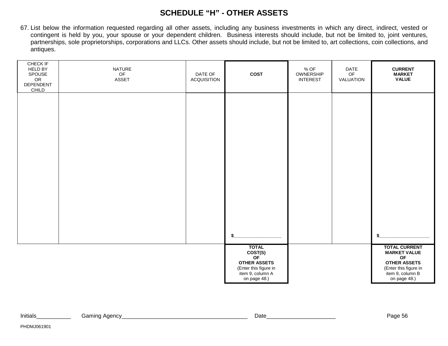## **SCHEDULE "H" - OTHER ASSETS**

67. List below the information requested regarding all other assets, including any business investments in which any direct, indirect, vested or contingent is held by you, your spouse or your dependent children. Business interests should include, but not be limited to, joint ventures, partnerships, sole proprietorships, corporations and LLCs. Other assets should include, but not be limited to, art collections, coin collections, and antiques.

| CHECK IF<br>HELD BY<br>SPOUSE<br>${\sf OR}$<br>DEPENDENT<br>CHILD | NATURE<br>$\mathsf{OF}% _{T}\left( \mathcal{M}_{T}\right)$<br>ASSET | DATE OF<br>ACQUISITION | COST                                                                                                              | $%$ OF<br>OWNERSHIP<br><b>INTEREST</b> | DATE<br>$\mathsf{OF}% \left( \mathcal{M}\right)$<br>VALUATION | <b>CURRENT</b><br><b>MARKET</b><br><b>VALUE</b>                                                                                       |
|-------------------------------------------------------------------|---------------------------------------------------------------------|------------------------|-------------------------------------------------------------------------------------------------------------------|----------------------------------------|---------------------------------------------------------------|---------------------------------------------------------------------------------------------------------------------------------------|
|                                                                   |                                                                     |                        |                                                                                                                   |                                        |                                                               |                                                                                                                                       |
|                                                                   |                                                                     |                        |                                                                                                                   |                                        |                                                               |                                                                                                                                       |
|                                                                   |                                                                     |                        |                                                                                                                   |                                        |                                                               |                                                                                                                                       |
|                                                                   |                                                                     |                        |                                                                                                                   |                                        |                                                               |                                                                                                                                       |
|                                                                   |                                                                     |                        | \$                                                                                                                |                                        |                                                               | \$                                                                                                                                    |
|                                                                   |                                                                     |                        | <b>TOTAL</b><br>COST(S)<br>OF<br><b>OTHER ASSETS</b><br>(Enter this figure in<br>item 9, column A<br>on page 48.) |                                        |                                                               | <b>TOTAL CURRENT</b><br><b>MARKET VALUE</b><br>OF<br><b>OTHER ASSETS</b><br>(Enter this figure in<br>item 9, column B<br>on page 48.) |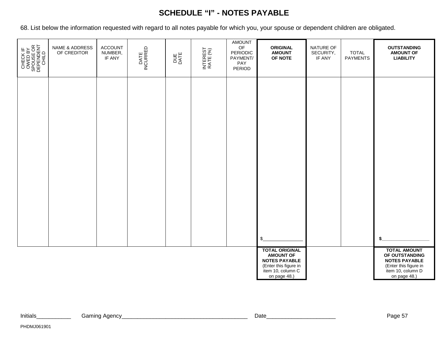# **SCHEDULE "I" - NOTES PAYABLE**

68. List below the information requested with regard to all notes payable for which you, your spouse or dependent children are obligated.

| CHECK IF<br>OWED BY<br>SPOUSE OR<br>SPOUSE OR<br>DEPENDENT | NAME & ADDRESS<br>OF CREDITOR | ACCOUNT<br>NUMBER,<br>IF ANY | DATE<br>INCURRED | DUE<br>DATE | INTEREST<br>RATE (%) | <b>AMOUNT</b><br>$\mathsf{OF}% \left( \mathcal{M}\right)$<br>PERIODIC<br>PAYMENT/<br>PAY<br>PERIOD | <b>ORIGINAL</b><br><b>AMOUNT</b><br>OF NOTE                                                                                     | NATURE OF<br>SECURITY,<br>IF ANY | <b>TOTAL</b><br><b>PAYMENTS</b> | <b>OUTSTANDING</b><br><b>AMOUNT OF</b><br><b>LIABILITY</b>                                                                  |
|------------------------------------------------------------|-------------------------------|------------------------------|------------------|-------------|----------------------|----------------------------------------------------------------------------------------------------|---------------------------------------------------------------------------------------------------------------------------------|----------------------------------|---------------------------------|-----------------------------------------------------------------------------------------------------------------------------|
|                                                            |                               |                              |                  |             |                      |                                                                                                    |                                                                                                                                 |                                  |                                 |                                                                                                                             |
|                                                            |                               |                              |                  |             |                      |                                                                                                    |                                                                                                                                 |                                  |                                 |                                                                                                                             |
|                                                            |                               |                              |                  |             |                      |                                                                                                    |                                                                                                                                 |                                  |                                 |                                                                                                                             |
|                                                            |                               |                              |                  |             |                      |                                                                                                    |                                                                                                                                 |                                  |                                 |                                                                                                                             |
|                                                            |                               |                              |                  |             |                      |                                                                                                    | \$                                                                                                                              |                                  |                                 |                                                                                                                             |
|                                                            |                               |                              |                  |             |                      |                                                                                                    | <b>TOTAL ORIGINAL</b><br><b>AMOUNT OF</b><br><b>NOTES PAYABLE</b><br>(Enter this figure in<br>item 10, column C<br>on page 48.) |                                  |                                 | <b>TOTAL AMOUNT</b><br>OF OUTSTANDING<br><b>NOTES PAYABLE</b><br>(Enter this figure in<br>item 10, column D<br>on page 48.) |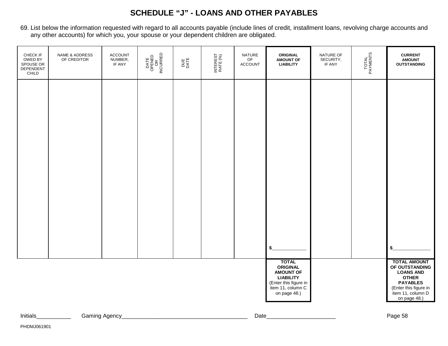# **SCHEDULE "J" - LOANS AND OTHER PAYABLES**

69. List below the information requested with regard to all accounts payable (include lines of credit, installment loans, revolving charge accounts and any other accounts) for which you, your spouse or your dependent children are obligated.

| \$                                                                                                                                    |                                                                                                                                                            |
|---------------------------------------------------------------------------------------------------------------------------------------|------------------------------------------------------------------------------------------------------------------------------------------------------------|
| <b>TOTAL</b><br><b>ORIGINAL</b><br><b>AMOUNT OF</b><br><b>LIABILITY</b><br>(Enter this figure in<br>item 11, column C<br>on page 48.) | <b>TOTAL AMOUNT</b><br>OF OUTSTANDING<br><b>LOANS AND</b><br><b>OTHER</b><br><b>PAYABLES</b><br>(Enter this figure in<br>item 11, column D<br>on page 48.) |

| Initials | Agency<br>Gaming | Date | $\sim$<br>au |
|----------|------------------|------|--------------|
|          |                  |      |              |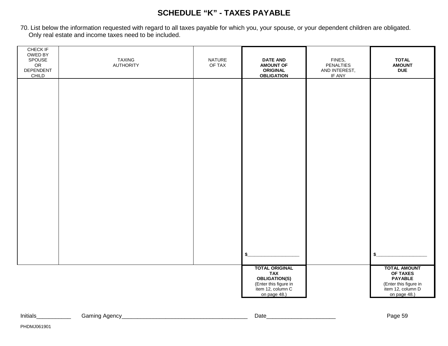# **SCHEDULE "K" - TAXES PAYABLE**

70. List below the information requested with regard to all taxes payable for which you, your spouse, or your dependent children are obligated. Only real estate and income taxes need to be included.

| CHECK IF<br>OWED BY<br>SPOUSE<br>${\sf OR}$<br><b>DEPENDENT</b><br>CHILD | <b>TAXING</b><br><b>AUTHORITY</b> | NATURE<br>OF TAX | <b>DATE AND</b><br><b>AMOUNT OF</b><br><b>ORIGINAL</b><br><b>OBLIGATION</b>                                        | FINES,<br><b>PENALTIES</b><br>AND INTEREST,<br>IF ANY | <b>TOTAL</b><br><b>AMOUNT</b><br><b>DUE</b>                                                                     |
|--------------------------------------------------------------------------|-----------------------------------|------------------|--------------------------------------------------------------------------------------------------------------------|-------------------------------------------------------|-----------------------------------------------------------------------------------------------------------------|
|                                                                          |                                   |                  |                                                                                                                    |                                                       |                                                                                                                 |
|                                                                          |                                   |                  |                                                                                                                    |                                                       |                                                                                                                 |
|                                                                          |                                   |                  |                                                                                                                    |                                                       |                                                                                                                 |
|                                                                          |                                   |                  |                                                                                                                    |                                                       |                                                                                                                 |
|                                                                          |                                   |                  |                                                                                                                    |                                                       |                                                                                                                 |
|                                                                          |                                   |                  |                                                                                                                    |                                                       |                                                                                                                 |
|                                                                          |                                   |                  | \$                                                                                                                 |                                                       |                                                                                                                 |
|                                                                          |                                   |                  | <b>TOTAL ORIGINAL</b><br>TAX<br>TAX<br>OBLIGATION(S)<br>(Enter this figure in<br>item 12, column C<br>on page 48.) |                                                       | <b>TOTAL AMOUNT</b><br>OF TAXES<br><b>PAYABLE</b><br>(Enter this figure in<br>item 12, column D<br>on page 48.) |

| Initials<br>Date<br>Agency<br>12000<br>Gamine<br>auu oc |  |  |
|---------------------------------------------------------|--|--|
|                                                         |  |  |
|                                                         |  |  |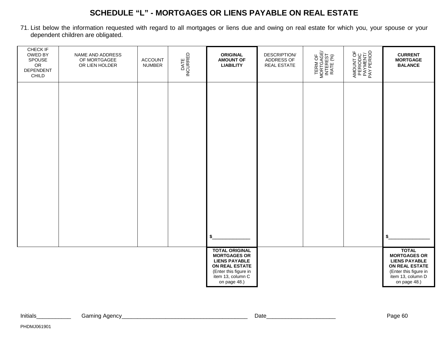# **SCHEDULE "L" - MORTGAGES OR LIENS PAYABLE ON REAL ESTATE**

71. List below the information requested with regard to all mortgages or liens due and owing on real estate for which you, your spouse or your dependent children are obligated.

| CHECK IF<br>OWED BY<br>SPOUSE<br>OR<br>DEPENDENT<br>CHILD | NAME AND ADDRESS<br>OF MORTGAGEE<br>OR LIEN HOLDER | <b>ACCOUNT</b><br><b>NUMBER</b> | DATE<br>INCURRED | <b>ORIGINAL</b><br><b>AMOUNT OF</b><br><b>LIABILITY</b>                                                                                              | <b>DESCRIPTION/</b><br>ADDRESS OF<br><b>REAL ESTATE</b> | TERM OF<br>MORTGAGE/<br>INTEREST<br>RATE (%) | AMOUNT OF<br>PERIODIC<br>PAYMENT/<br>PAY PERIOD | <b>CURRENT</b><br><b>MORTGAGE</b><br><b>BALANCE</b>                                                                                         |
|-----------------------------------------------------------|----------------------------------------------------|---------------------------------|------------------|------------------------------------------------------------------------------------------------------------------------------------------------------|---------------------------------------------------------|----------------------------------------------|-------------------------------------------------|---------------------------------------------------------------------------------------------------------------------------------------------|
|                                                           |                                                    |                                 |                  |                                                                                                                                                      |                                                         |                                              |                                                 |                                                                                                                                             |
|                                                           |                                                    |                                 |                  |                                                                                                                                                      |                                                         |                                              |                                                 |                                                                                                                                             |
|                                                           |                                                    |                                 |                  |                                                                                                                                                      |                                                         |                                              |                                                 |                                                                                                                                             |
|                                                           |                                                    |                                 |                  |                                                                                                                                                      |                                                         |                                              |                                                 |                                                                                                                                             |
|                                                           |                                                    |                                 |                  | \$                                                                                                                                                   |                                                         |                                              |                                                 | \$                                                                                                                                          |
|                                                           |                                                    |                                 |                  | <b>TOTAL ORIGINAL</b><br><b>MORTGAGES OR</b><br><b>LIENS PAYABLE</b><br>ON REAL ESTATE<br>(Enter this figure in<br>item 13, column C<br>on page 48.) |                                                         |                                              |                                                 | <b>TOTAL</b><br><b>MORTGAGES OR</b><br><b>LIENS PAYABLE</b><br>ON REAL ESTATE<br>(Enter this figure in<br>item 13, column D<br>on page 48.) |

| Initials | Gamino<br>Agency | $\mathsf{Date}$ | ~~<br>Page bu |
|----------|------------------|-----------------|---------------|
|          |                  |                 |               |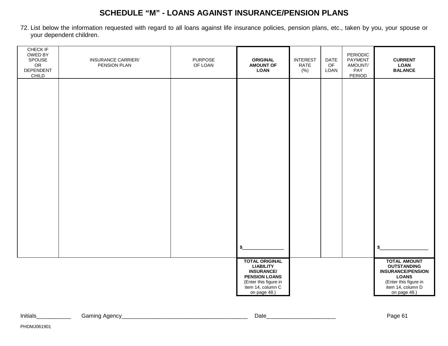# **SCHEDULE "M" - LOANS AGAINST INSURANCE/PENSION PLANS**

72. List below the information requested with regard to all loans against life insurance policies, pension plans, etc., taken by you, your spouse or your dependent children.

| CHECK IF<br>OWED BY<br>SPOUSE<br>OR<br>DEPENDENT<br>CHILD | <b>INSURANCE CARRIER/</b><br>PENSION PLAN | <b>PURPOSE</b><br>OF LOAN | <b>ORIGINAL</b><br><b>AMOUNT OF</b><br><b>LOAN</b>                                                                                                   | <b>INTEREST</b><br>RATE<br>(% ) | <b>DATE</b><br>OF<br>LOAN | PERIODIC<br>PAYMENT<br>AMOUNT/<br>PAY<br>PERIOD | <b>CURRENT</b><br><b>LOAN</b><br><b>BALANCE</b>                                                                                                     |
|-----------------------------------------------------------|-------------------------------------------|---------------------------|------------------------------------------------------------------------------------------------------------------------------------------------------|---------------------------------|---------------------------|-------------------------------------------------|-----------------------------------------------------------------------------------------------------------------------------------------------------|
|                                                           |                                           |                           |                                                                                                                                                      |                                 |                           |                                                 |                                                                                                                                                     |
|                                                           |                                           |                           |                                                                                                                                                      |                                 |                           |                                                 |                                                                                                                                                     |
|                                                           |                                           |                           |                                                                                                                                                      |                                 |                           |                                                 |                                                                                                                                                     |
|                                                           |                                           |                           |                                                                                                                                                      |                                 |                           |                                                 |                                                                                                                                                     |
|                                                           |                                           |                           |                                                                                                                                                      |                                 |                           |                                                 |                                                                                                                                                     |
|                                                           |                                           |                           |                                                                                                                                                      |                                 |                           |                                                 |                                                                                                                                                     |
|                                                           |                                           |                           |                                                                                                                                                      |                                 |                           |                                                 |                                                                                                                                                     |
|                                                           |                                           |                           | \$                                                                                                                                                   |                                 |                           |                                                 | \$                                                                                                                                                  |
|                                                           |                                           |                           |                                                                                                                                                      |                                 |                           |                                                 |                                                                                                                                                     |
|                                                           |                                           |                           | <b>TOTAL ORIGINAL</b><br><b>LIABILITY</b><br><b>INSURANCE/</b><br><b>PENSION LOANS</b><br>(Enter this figure in<br>item 14, column C<br>on page 48.) |                                 |                           |                                                 | <b>TOTAL AMOUNT</b><br><b>OUTSTANDING</b><br><b>INSURANCE/PENSION</b><br><b>LOANS</b><br>(Enter this figure in<br>item 14, column D<br>on page 48.) |

| Initials | Aaencv<br>amınaئ | Date | $\cdots$   |
|----------|------------------|------|------------|
|          |                  |      | auc<br>. . |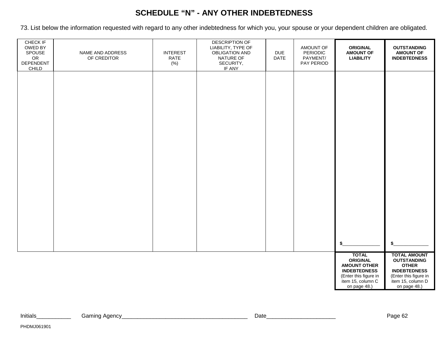## **SCHEDULE "N" - ANY OTHER INDEBTEDNESS**

73. List below the information requested with regard to any other indebtedness for which you, your spouse or your dependent children are obligated.

| CHECK IF<br>OWED BY<br>SPOUSE<br>OR<br>DEPENDENT | NAME AND ADDRESS<br>OF CREDITOR | <b>INTEREST</b><br>RATE<br>(% ) | DESCRIPTION OF<br>LIABILITY, TYPE OF<br><b>OBLIGATION AND</b><br>NATURE OF<br>SECURITY, | <b>DUE</b><br><b>DATE</b> | AMOUNT OF<br>PERIODIC<br>PAYMENT/<br>PAY PERIOD | <b>ORIGINAL</b><br><b>AMOUNT OF</b><br><b>LIABILITY</b>                                                | <b>OUTSTANDING</b><br><b>AMOUNT OF</b><br><b>INDEBTEDNESS</b>                                             |
|--------------------------------------------------|---------------------------------|---------------------------------|-----------------------------------------------------------------------------------------|---------------------------|-------------------------------------------------|--------------------------------------------------------------------------------------------------------|-----------------------------------------------------------------------------------------------------------|
| CHILD                                            |                                 |                                 | IF ANY                                                                                  |                           |                                                 |                                                                                                        |                                                                                                           |
|                                                  |                                 |                                 |                                                                                         |                           |                                                 |                                                                                                        |                                                                                                           |
|                                                  |                                 |                                 |                                                                                         |                           |                                                 |                                                                                                        |                                                                                                           |
|                                                  |                                 |                                 |                                                                                         |                           |                                                 |                                                                                                        |                                                                                                           |
|                                                  |                                 |                                 |                                                                                         |                           |                                                 |                                                                                                        |                                                                                                           |
|                                                  |                                 |                                 |                                                                                         |                           |                                                 |                                                                                                        |                                                                                                           |
|                                                  |                                 |                                 |                                                                                         |                           |                                                 |                                                                                                        |                                                                                                           |
|                                                  |                                 |                                 |                                                                                         |                           |                                                 | \$                                                                                                     | \$                                                                                                        |
|                                                  |                                 |                                 |                                                                                         |                           |                                                 | <b>TOTAL</b><br><b>ORIGINAL</b><br><b>AMOUNT OTHER</b><br><b>INDEBTEDNESS</b><br>(Enter this figure in | <b>TOTAL AMOUNT</b><br><b>OUTSTANDING</b><br><b>OTHER</b><br><b>INDEBTEDNESS</b><br>(Enter this figure in |
|                                                  |                                 |                                 |                                                                                         |                           |                                                 | item 15, column C<br>on page 48.)                                                                      | item 15, column D<br>on page 48.)                                                                         |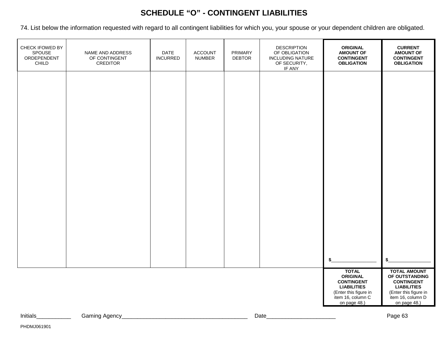# **SCHEDULE "O" - CONTINGENT LIABILITIES**

74. List below the information requested with regard to all contingent liabilities for which you, your spouse or your dependent children are obligated.

| CHECK IFOWED BY<br>SPOUSE<br>ORDEPENDENT<br>$\textsf{CHILD}$ | NAME AND ADDRESS<br>OF CONTINGENT<br><b>CREDITOR</b> | <b>DATE</b><br><b>INCURRED</b> | <b>ACCOUNT</b><br><b>NUMBER</b> | PRIMARY<br><b>DEBTOR</b> | <b>DESCRIPTION</b><br>OF OBLIGATION<br><b>INCLUDING NATURE</b><br>OF SECURITY,<br>IF ANY | <b>ORIGINAL</b><br><b>AMOUNT OF</b><br><b>CONTINGENT</b><br><b>OBLIGATION</b>                                                            | <b>CURRENT</b><br><b>AMOUNT OF</b><br><b>CONTINGENT</b><br><b>OBLIGATION</b>                                                                   |
|--------------------------------------------------------------|------------------------------------------------------|--------------------------------|---------------------------------|--------------------------|------------------------------------------------------------------------------------------|------------------------------------------------------------------------------------------------------------------------------------------|------------------------------------------------------------------------------------------------------------------------------------------------|
|                                                              |                                                      |                                |                                 |                          |                                                                                          |                                                                                                                                          |                                                                                                                                                |
|                                                              |                                                      |                                |                                 |                          |                                                                                          |                                                                                                                                          |                                                                                                                                                |
|                                                              |                                                      |                                |                                 |                          |                                                                                          |                                                                                                                                          |                                                                                                                                                |
|                                                              |                                                      |                                |                                 |                          |                                                                                          |                                                                                                                                          |                                                                                                                                                |
|                                                              |                                                      |                                |                                 |                          |                                                                                          |                                                                                                                                          |                                                                                                                                                |
|                                                              |                                                      |                                |                                 |                          |                                                                                          | \$                                                                                                                                       | \$                                                                                                                                             |
|                                                              |                                                      |                                |                                 |                          |                                                                                          | <b>TOTAL</b><br><b>ORIGINAL</b><br><b>CONTINGENT</b><br><b>LIABILITIES</b><br>(Enter this figure in<br>item 16, column C<br>on page 48.) | <b>TOTAL AMOUNT</b><br>OF OUTSTANDING<br><b>CONTINGENT</b><br><b>LIABILITIES</b><br>(Enter this figure in<br>item 16, column D<br>on page 48.) |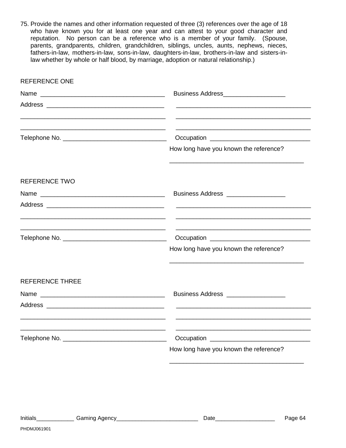75. Provide the names and other information requested of three (3) references over the age of 18 who have known you for at least one year and can attest to your good character and reputation. No person can be a reference who is a member of your family. (Spouse, parents, grandparents, children, grandchildren, siblings, uncles, aunts, nephews, nieces, fathers-in-law, mothers-in-law, sons-in-law, daughters-in-law, brothers-in-law and sisters-inlaw whether by whole or half blood, by marriage, adoption or natural relationship.)

| <b>REFERENCE ONE</b>   |                                                     |
|------------------------|-----------------------------------------------------|
|                        | Business Address_____________________               |
|                        | $\frac{1}{2}$                                       |
|                        |                                                     |
|                        | How long have you known the reference?              |
| <b>REFERENCE TWO</b>   |                                                     |
|                        | Business Address <b>Management</b> Business Address |
|                        |                                                     |
|                        |                                                     |
|                        | How long have you known the reference?              |
| <b>REFERENCE THREE</b> |                                                     |
|                        | Business Address ___________________                |
|                        |                                                     |
|                        |                                                     |
|                        | How long have you known the reference?              |

PHDMJ061901

 $\overline{\phantom{a}}$  ,  $\overline{\phantom{a}}$  ,  $\overline{\phantom{a}}$  ,  $\overline{\phantom{a}}$  ,  $\overline{\phantom{a}}$  ,  $\overline{\phantom{a}}$  ,  $\overline{\phantom{a}}$  ,  $\overline{\phantom{a}}$  ,  $\overline{\phantom{a}}$  ,  $\overline{\phantom{a}}$  ,  $\overline{\phantom{a}}$  ,  $\overline{\phantom{a}}$  ,  $\overline{\phantom{a}}$  ,  $\overline{\phantom{a}}$  ,  $\overline{\phantom{a}}$  ,  $\overline{\phantom{a}}$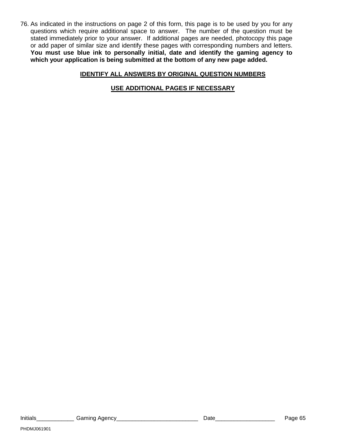76. As indicated in the instructions on page 2 of this form, this page is to be used by you for any questions which require additional space to answer. The number of the question must be stated immediately prior to your answer. If additional pages are needed, photocopy this page or add paper of similar size and identify these pages with corresponding numbers and letters. **You must use blue ink to personally initial, date and identify the gaming agency to which your application is being submitted at the bottom of any new page added.**

#### **IDENTIFY ALL ANSWERS BY ORIGINAL QUESTION NUMBERS**

**USE ADDITIONAL PAGES IF NECESSARY**